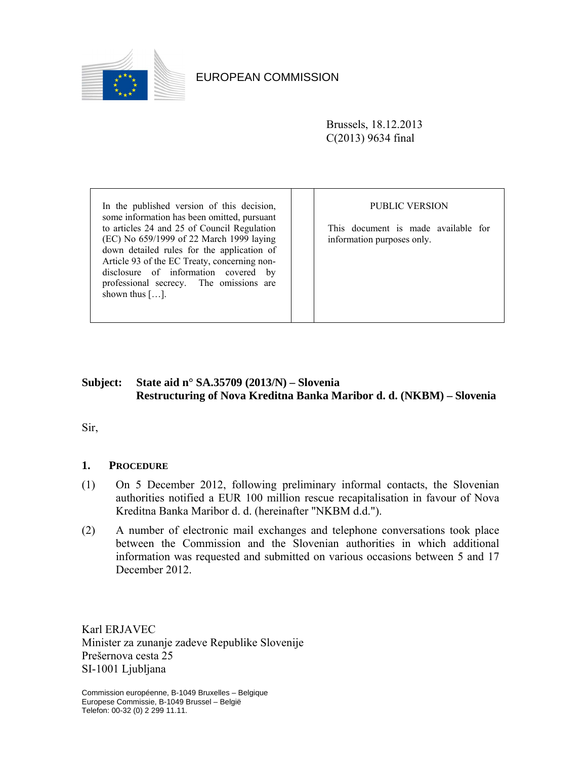

# EUROPEAN COMMISSION

Brussels, 18.12.2013 C(2013) 9634 final

In the published version of this decision, some information has been omitted, pursuant to articles 24 and 25 of Council Regulation (EC) No 659/1999 of 22 March 1999 laying down detailed rules for the application of Article 93 of the EC Treaty, concerning nondisclosure of information covered by professional secrecy. The omissions are shown thus  $[\dots]$ .

### PUBLIC VERSION

This document is made available for information purposes only.

# **Subject: State aid n° SA.35709 (2013/N) – Slovenia Restructuring of Nova Kreditna Banka Maribor d. d. (NKBM) – Slovenia**

Sir,

## **1. PROCEDURE**

- (1) On 5 December 2012, following preliminary informal contacts, the Slovenian authorities notified a EUR 100 million rescue recapitalisation in favour of Nova Kreditna Banka Maribor d. d. (hereinafter "NKBM d.d.").
- (2) A number of electronic mail exchanges and telephone conversations took place between the Commission and the Slovenian authorities in which additional information was requested and submitted on various occasions between 5 and 17 December 2012.

Karl ERJAVEC Minister za zunanje zadeve Republike Slovenije Prešernova cesta 25 SI-1001 Ljubljana

Commission européenne, B-1049 Bruxelles – Belgique Europese Commissie, B-1049 Brussel – België Telefon: 00-32 (0) 2 299 11.11.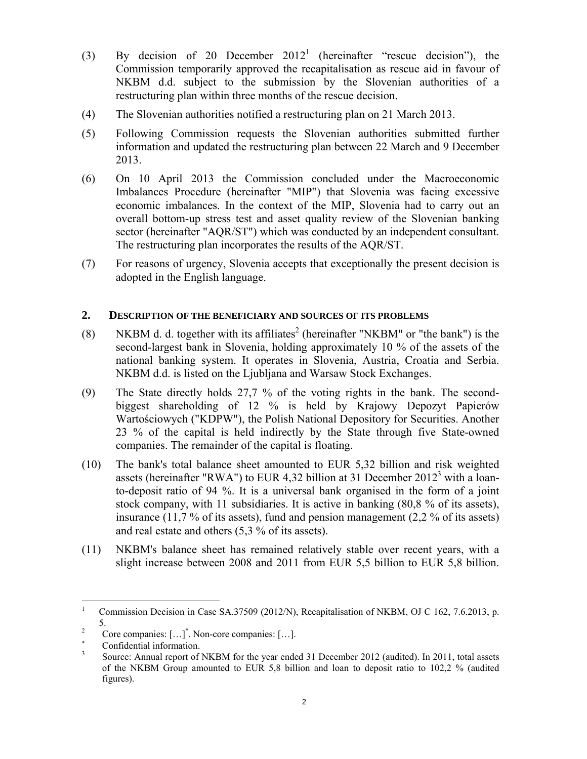- (3) By decision of 20 December  $2012<sup>1</sup>$  (hereinafter "rescue decision"), the Commission temporarily approved the recapitalisation as rescue aid in favour of NKBM d.d. subject to the submission by the Slovenian authorities of a restructuring plan within three months of the rescue decision.
- (4) The Slovenian authorities notified a restructuring plan on 21 March 2013.
- (5) Following Commission requests the Slovenian authorities submitted further information and updated the restructuring plan between 22 March and 9 December 2013.
- (6) On 10 April 2013 the Commission concluded under the Macroeconomic Imbalances Procedure (hereinafter "MIP") that Slovenia was facing excessive economic imbalances. In the context of the MIP, Slovenia had to carry out an overall bottom-up stress test and asset quality review of the Slovenian banking sector (hereinafter "AQR/ST") which was conducted by an independent consultant. The restructuring plan incorporates the results of the AQR/ST.
- (7) For reasons of urgency, Slovenia accepts that exceptionally the present decision is adopted in the English language.

## **2. DESCRIPTION OF THE BENEFICIARY AND SOURCES OF ITS PROBLEMS**

- (8) NKBM d. d. together with its affiliates<sup>2</sup> (hereinafter "NKBM" or "the bank") is the second-largest bank in Slovenia, holding approximately 10 % of the assets of the national banking system. It operates in Slovenia, Austria, Croatia and Serbia. NKBM d.d. is listed on the Ljubljana and Warsaw Stock Exchanges.
- (9) The State directly holds 27,7 % of the voting rights in the bank. The secondbiggest shareholding of 12 % is held by Krajowy Depozyt Papierów Wartościowych ("KDPW"), the Polish National Depository for Securities. Another 23 % of the capital is held indirectly by the State through five State-owned companies. The remainder of the capital is floating.
- (10) The bank's total balance sheet amounted to EUR 5,32 billion and risk weighted assets (hereinafter "RWA") to EUR 4,32 billion at 31 December  $2012^3$  with a loanto-deposit ratio of 94 %. It is a universal bank organised in the form of a joint stock company, with 11 subsidiaries. It is active in banking (80,8 % of its assets), insurance (11,7 % of its assets), fund and pension management (2,2 % of its assets) and real estate and others (5,3 % of its assets).
- (11) NKBM's balance sheet has remained relatively stable over recent years, with a slight increase between 2008 and 2011 from EUR 5,5 billion to EUR 5,8 billion.

 $\overline{a}$ 

<sup>1</sup> Commission Decision in Case SA.37509 (2012/N), Recapitalisation of NKBM, OJ C 162, 7.6.2013, p.  $\frac{5}{2}$ 

Core companies: […]\* . Non-core companies: […].

<sup>∗</sup> Confidential information.

<sup>3</sup> Source: Annual report of NKBM for the year ended 31 December 2012 (audited). In 2011, total assets of the NKBM Group amounted to EUR 5,8 billion and loan to deposit ratio to 102,2 % (audited figures).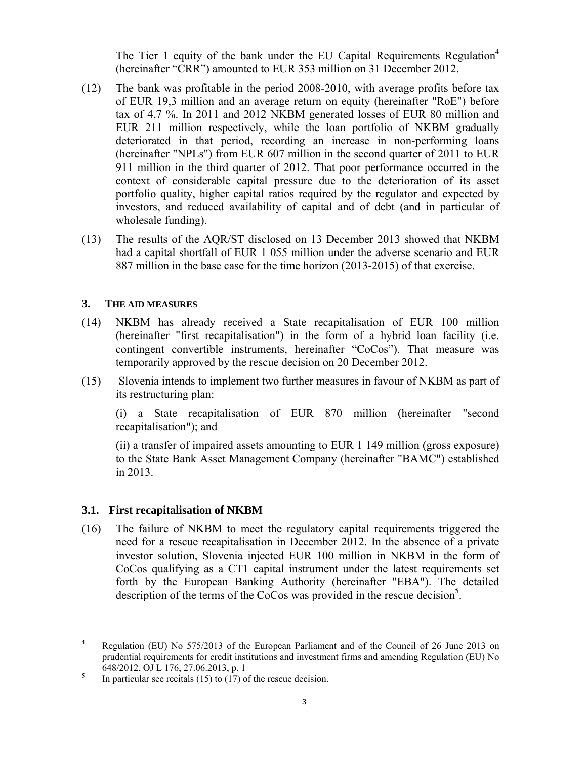The Tier 1 equity of the bank under the EU Capital Requirements Regulation<sup>4</sup> (hereinafter "CRR") amounted to EUR 353 million on 31 December 2012.

- (12) The bank was profitable in the period 2008-2010, with average profits before tax of EUR 19,3 million and an average return on equity (hereinafter "RoE") before tax of 4,7 %. In 2011 and 2012 NKBM generated losses of EUR 80 million and EUR 211 million respectively, while the loan portfolio of NKBM gradually deteriorated in that period, recording an increase in non-performing loans (hereinafter "NPLs") from EUR 607 million in the second quarter of 2011 to EUR 911 million in the third quarter of 2012. That poor performance occurred in the context of considerable capital pressure due to the deterioration of its asset portfolio quality, higher capital ratios required by the regulator and expected by investors, and reduced availability of capital and of debt (and in particular of wholesale funding).
- (13) The results of the AQR/ST disclosed on 13 December 2013 showed that NKBM had a capital shortfall of EUR 1 055 million under the adverse scenario and EUR 887 million in the base case for the time horizon (2013-2015) of that exercise.

### **3. THE AID MEASURES**

- (14) NKBM has already received a State recapitalisation of EUR 100 million (hereinafter "first recapitalisation") in the form of a hybrid loan facility (i.e. contingent convertible instruments, hereinafter "CoCos"). That measure was temporarily approved by the rescue decision on 20 December 2012.
- (15) Slovenia intends to implement two further measures in favour of NKBM as part of its restructuring plan:

(i) a State recapitalisation of EUR 870 million (hereinafter "second recapitalisation"); and

 (ii) a transfer of impaired assets amounting to EUR 1 149 million (gross exposure) to the State Bank Asset Management Company (hereinafter "BAMC") established in 2013.

#### **3.1. First recapitalisation of NKBM**

(16) The failure of NKBM to meet the regulatory capital requirements triggered the need for a rescue recapitalisation in December 2012. In the absence of a private investor solution, Slovenia injected EUR 100 million in NKBM in the form of CoCos qualifying as a CT1 capital instrument under the latest requirements set forth by the European Banking Authority (hereinafter "EBA"). The detailed description of the terms of the CoCos was provided in the rescue decision<sup>5</sup>.

 $\frac{1}{4}$  Regulation (EU) No 575/2013 of the European Parliament and of the Council of 26 June 2013 on prudential requirements for credit institutions and investment firms and amending Regulation (EU) No 648/2012, OJ L 176, 27.06.2013, p. 1

In particular see recitals (15) to (17) of the rescue decision.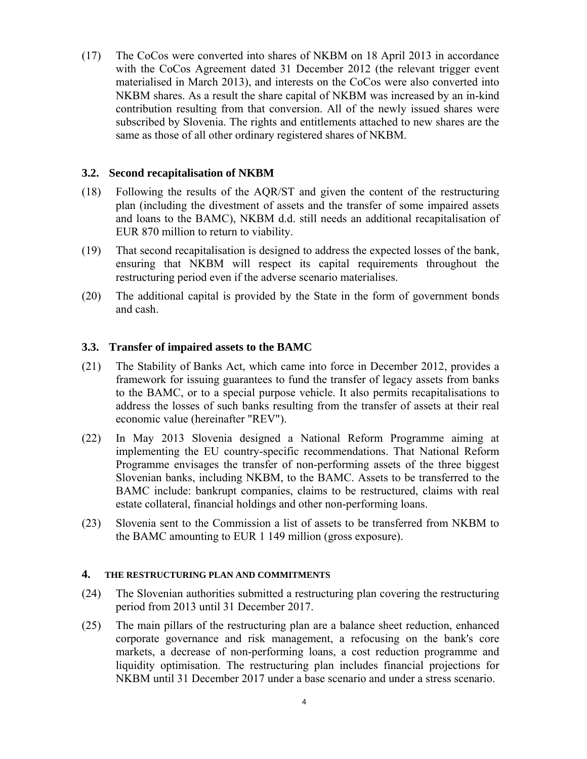(17) The CoCos were converted into shares of NKBM on 18 April 2013 in accordance with the CoCos Agreement dated 31 December 2012 (the relevant trigger event materialised in March 2013), and interests on the CoCos were also converted into NKBM shares. As a result the share capital of NKBM was increased by an in-kind contribution resulting from that conversion. All of the newly issued shares were subscribed by Slovenia. The rights and entitlements attached to new shares are the same as those of all other ordinary registered shares of NKBM.

## **3.2. Second recapitalisation of NKBM**

- (18) Following the results of the AQR/ST and given the content of the restructuring plan (including the divestment of assets and the transfer of some impaired assets and loans to the BAMC), NKBM d.d. still needs an additional recapitalisation of EUR 870 million to return to viability.
- (19) That second recapitalisation is designed to address the expected losses of the bank, ensuring that NKBM will respect its capital requirements throughout the restructuring period even if the adverse scenario materialises.
- (20) The additional capital is provided by the State in the form of government bonds and cash.

### **3.3. Transfer of impaired assets to the BAMC**

- (21) The Stability of Banks Act, which came into force in December 2012, provides a framework for issuing guarantees to fund the transfer of legacy assets from banks to the BAMC, or to a special purpose vehicle. It also permits recapitalisations to address the losses of such banks resulting from the transfer of assets at their real economic value (hereinafter "REV").
- (22) In May 2013 Slovenia designed a National Reform Programme aiming at implementing the EU country-specific recommendations. That National Reform Programme envisages the transfer of non-performing assets of the three biggest Slovenian banks, including NKBM, to the BAMC. Assets to be transferred to the BAMC include: bankrupt companies, claims to be restructured, claims with real estate collateral, financial holdings and other non-performing loans.
- (23) Slovenia sent to the Commission a list of assets to be transferred from NKBM to the BAMC amounting to EUR 1 149 million (gross exposure).

#### **4. THE RESTRUCTURING PLAN AND COMMITMENTS**

- (24) The Slovenian authorities submitted a restructuring plan covering the restructuring period from 2013 until 31 December 2017.
- (25) The main pillars of the restructuring plan are a balance sheet reduction, enhanced corporate governance and risk management, a refocusing on the bank's core markets, a decrease of non-performing loans, a cost reduction programme and liquidity optimisation. The restructuring plan includes financial projections for NKBM until 31 December 2017 under a base scenario and under a stress scenario.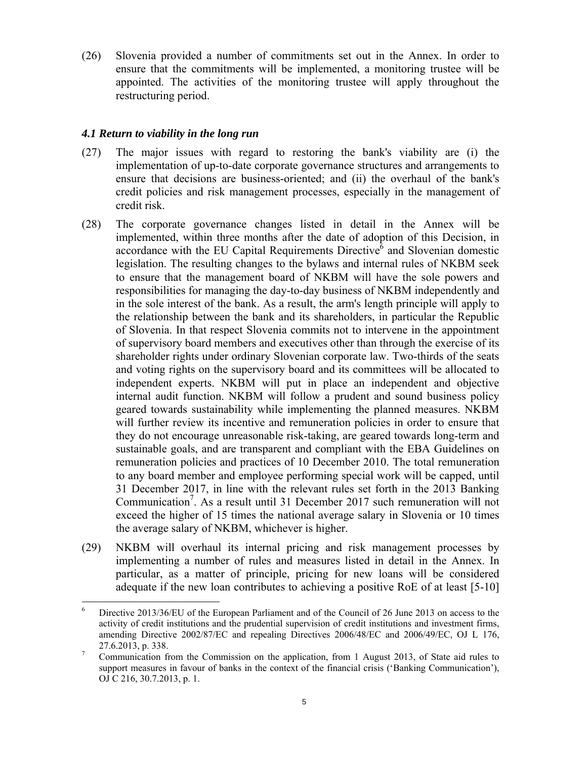(26) Slovenia provided a number of commitments set out in the Annex. In order to ensure that the commitments will be implemented, a monitoring trustee will be appointed. The activities of the monitoring trustee will apply throughout the restructuring period.

### *4.1 Return to viability in the long run*

- (27) The major issues with regard to restoring the bank's viability are (i) the implementation of up-to-date corporate governance structures and arrangements to ensure that decisions are business-oriented; and (ii) the overhaul of the bank's credit policies and risk management processes, especially in the management of credit risk.
- (28) The corporate governance changes listed in detail in the Annex will be implemented, within three months after the date of adoption of this Decision, in accordance with the EU Capital Requirements Directive  $\delta$  and Slovenian domestic legislation. The resulting changes to the bylaws and internal rules of NKBM seek to ensure that the management board of NKBM will have the sole powers and responsibilities for managing the day-to-day business of NKBM independently and in the sole interest of the bank. As a result, the arm's length principle will apply to the relationship between the bank and its shareholders, in particular the Republic of Slovenia. In that respect Slovenia commits not to intervene in the appointment of supervisory board members and executives other than through the exercise of its shareholder rights under ordinary Slovenian corporate law. Two-thirds of the seats and voting rights on the supervisory board and its committees will be allocated to independent experts. NKBM will put in place an independent and objective internal audit function. NKBM will follow a prudent and sound business policy geared towards sustainability while implementing the planned measures. NKBM will further review its incentive and remuneration policies in order to ensure that they do not encourage unreasonable risk-taking, are geared towards long-term and sustainable goals, and are transparent and compliant with the EBA Guidelines on remuneration policies and practices of 10 December 2010. The total remuneration to any board member and employee performing special work will be capped, until 31 December 2017, in line with the relevant rules set forth in the 2013 Banking Communication<sup>7</sup>. As a result until 31 December 2017 such remuneration will not exceed the higher of 15 times the national average salary in Slovenia or 10 times the average salary of NKBM, whichever is higher.
- (29) NKBM will overhaul its internal pricing and risk management processes by implementing a number of rules and measures listed in detail in the Annex. In particular, as a matter of principle, pricing for new loans will be considered adequate if the new loan contributes to achieving a positive RoE of at least [5-10]

 6 Directive 2013/36/EU of the European Parliament and of the Council of 26 June 2013 on access to the activity of credit institutions and the prudential supervision of credit institutions and investment firms, amending Directive 2002/87/EC and repealing Directives 2006/48/EC and 2006/49/EC, OJ L 176,  $27.6.2013$ , p. 338.

Communication from the Commission on the application, from 1 August 2013, of State aid rules to support measures in favour of banks in the context of the financial crisis ('Banking Communication'), OJ C 216, 30.7.2013, p. 1.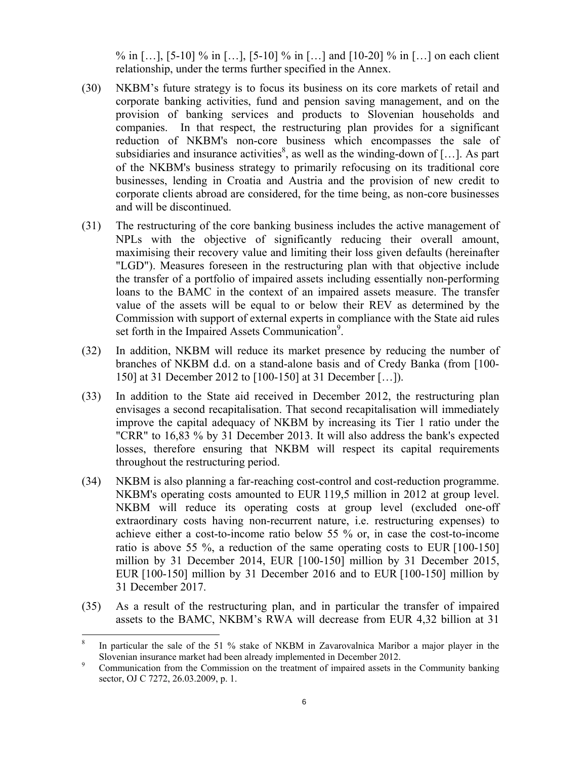% in [...], [5-10] % in [...], [5-10] % in [...] and [10-20] % in [...] on each client relationship, under the terms further specified in the Annex.

- (30) NKBM's future strategy is to focus its business on its core markets of retail and corporate banking activities, fund and pension saving management, and on the provision of banking services and products to Slovenian households and companies. In that respect, the restructuring plan provides for a significant reduction of NKBM's non-core business which encompasses the sale of subsidiaries and insurance activities<sup>8</sup>, as well as the winding-down of [...]. As part of the NKBM's business strategy to primarily refocusing on its traditional core businesses, lending in Croatia and Austria and the provision of new credit to corporate clients abroad are considered, for the time being, as non-core businesses and will be discontinued.
- (31) The restructuring of the core banking business includes the active management of NPLs with the objective of significantly reducing their overall amount, maximising their recovery value and limiting their loss given defaults (hereinafter "LGD"). Measures foreseen in the restructuring plan with that objective include the transfer of a portfolio of impaired assets including essentially non-performing loans to the BAMC in the context of an impaired assets measure. The transfer value of the assets will be equal to or below their REV as determined by the Commission with support of external experts in compliance with the State aid rules set forth in the Impaired Assets Communication<sup>9</sup>.
- (32) In addition, NKBM will reduce its market presence by reducing the number of branches of NKBM d.d. on a stand-alone basis and of Credy Banka (from [100- 150] at 31 December 2012 to [100-150] at 31 December […]).
- (33) In addition to the State aid received in December 2012, the restructuring plan envisages a second recapitalisation. That second recapitalisation will immediately improve the capital adequacy of NKBM by increasing its Tier 1 ratio under the "CRR" to 16,83 % by 31 December 2013. It will also address the bank's expected losses, therefore ensuring that NKBM will respect its capital requirements throughout the restructuring period.
- (34) NKBM is also planning a far-reaching cost-control and cost-reduction programme. NKBM's operating costs amounted to EUR 119,5 million in 2012 at group level. NKBM will reduce its operating costs at group level (excluded one-off extraordinary costs having non-recurrent nature, i.e. restructuring expenses) to achieve either a cost-to-income ratio below 55 % or, in case the cost-to-income ratio is above 55 %, a reduction of the same operating costs to EUR [100-150] million by 31 December 2014, EUR [100-150] million by 31 December 2015, EUR [100-150] million by 31 December 2016 and to EUR [100-150] million by 31 December 2017.
- (35) As a result of the restructuring plan, and in particular the transfer of impaired assets to the BAMC, NKBM's RWA will decrease from EUR 4,32 billion at 31

 $\overline{a}$ 

<sup>8</sup> In particular the sale of the 51 % stake of NKBM in Zavarovalnica Maribor a major player in the Slovenian insurance market had been already implemented in December 2012.<br>Slowenian from the Commission on the treatment of impaired assets in

Communication from the Commission on the treatment of impaired assets in the Community banking sector, OJ C 7272, 26.03.2009, p. 1.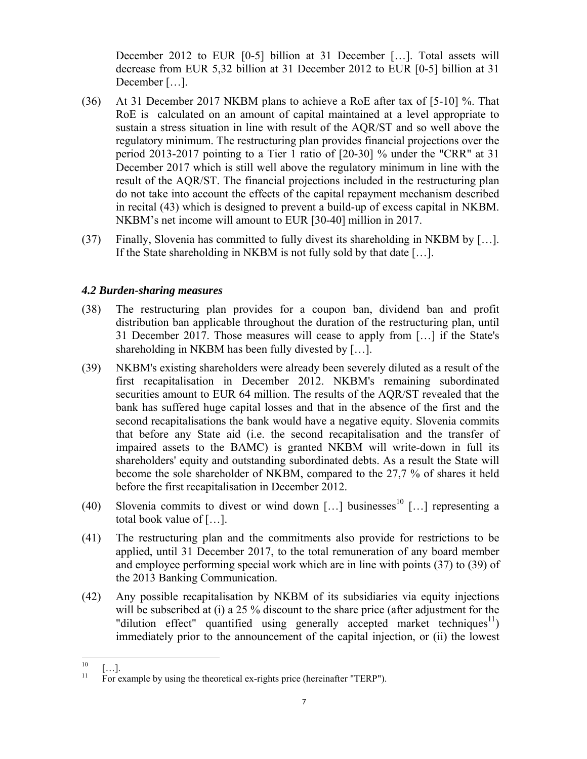December 2012 to EUR [0-5] billion at 31 December […]. Total assets will decrease from EUR 5,32 billion at 31 December 2012 to EUR [0-5] billion at 31 December [...].

- <span id="page-6-0"></span>(36) At 31 December 2017 NKBM plans to achieve a RoE after tax of [5-10] %. That RoE is calculated on an amount of capital maintained at a level appropriate to sustain a stress situation in line with result of the AQR/ST and so well above the regulatory minimum. The restructuring plan provides financial projections over the period 2013-2017 pointing to a Tier 1 ratio of [20-30] % under the "CRR" at 31 December 2017 which is still well above the regulatory minimum in line with the result of the AQR/ST. The financial projections included in the restructuring plan do not [take in](#page-7-0)to account the effects of the capital repayment mechanism described in recital (43) which is designed to prevent a build-up of excess capital in NKBM. NKBM's net income will amount to EUR [30-40] million in 2017.
- (37) Finally, Slovenia has committed to fully divest its shareholding in NKBM by […]. If the State shareholding in NKBM is not fully sold by that date […].

## *4.2 Burden-sharing measures*

- (38) The restructuring plan provides for a coupon ban, dividend ban and profit distribution ban applicable throughout the duration of the restructuring plan, until 31 December 2017. Those measures will cease to apply from […] if the State's shareholding in NKBM has been fully divested by […].
- (39) NKBM's existing shareholders were already been severely diluted as a result of the first recapitalisation in December 2012. NKBM's remaining subordinated securities amount to EUR 64 million. The results of the AQR/ST revealed that the bank has suffered huge capital losses and that in the absence of the first and the second recapitalisations the bank would have a negative equity. Slovenia commits that before any State aid (i.e. the second recapitalisation and the transfer of impaired assets to the BAMC) is granted NKBM will write-down in full its shareholders' equity and outstanding subordinated debts. As a result the State will become the sole shareholder of NKBM, compared to the 27,7 % of shares it held before the first recapitalisation in December 2012.
- (40) Slovenia commits to divest or wind down [...] businesses<sup>10</sup> [...] representing a total book value of […].
- (41) The restructuring plan and the commitments also provide for restrictions to be applied, until 31 December 2017, to the total remuneration of any board member and employee performing special work which are in line with points (37) to (39) of the 2013 Banking Communication.
- (42) Any possible recapitalisation by NKBM of its subsidiaries via equity injections will be subscribed at (i) a 25 % discount to the share price (after adjustment for the "dilution effect" quantified using generally accepted market techniques<sup>11</sup>) immediately prior to the announcement of the capital injection, or (ii) the lowest

 $10$  $\begin{bmatrix} 10 \\ 11 \end{bmatrix}$  [...].

<sup>11</sup> For example by using the theoretical ex-rights price (hereinafter "TERP").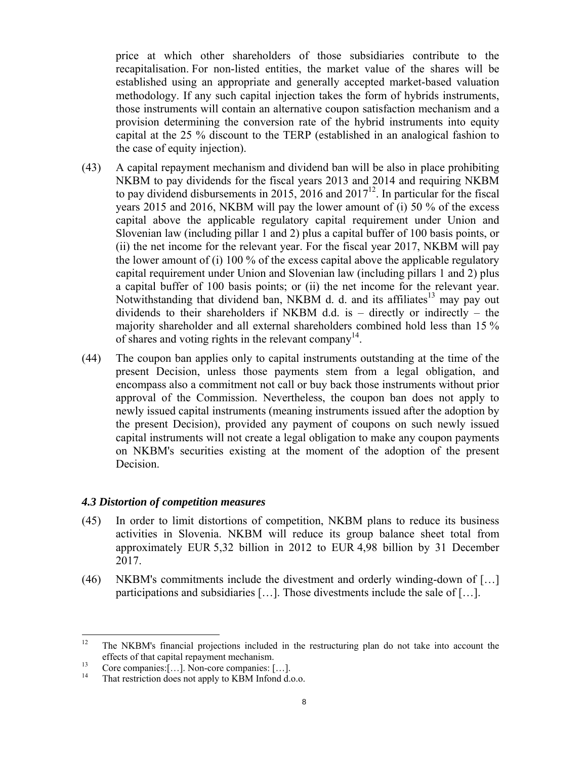price at which other shareholders of those subsidiaries contribute to the recapitalisation. For non-listed entities, the market value of the shares will be established using an appropriate and generally accepted market-based valuation methodology. If any such capital injection takes the form of hybrids instruments, those instruments will contain an alternative coupon satisfaction mechanism and a provision determining the conversion rate of the hybrid instruments into equity capital at the 25 % discount to the TERP (established in an analogical fashion to the case of equity injection).

- <span id="page-7-0"></span>(43) A capital repayment mechanism and dividend ban will be also in place prohibiting NKBM to pay dividends for the fiscal years 2013 and 2014 and requiring NKBM to pay dividend disbursements in 2015, 2016 and  $2017^{12}$ . In particular for the fiscal years 2015 and 2016, NKBM will pay the lower amount of (i) 50 % of the excess capital above the applicable regulatory capital requirement under Union and Slovenian law (including pillar 1 and 2) plus a capital buffer of 100 basis points, or (ii) the net income for the relevant year. For the fiscal year 2017, NKBM will pay the lower amount of (i) 100 % of the excess capital above the applicable regulatory capital requirement under Union and Slovenian law (including pillars 1 and 2) plus a capital buffer of 100 basis points; or (ii) the net income for the relevant year. Notwithstanding that dividend ban, NKBM d. d. and its affiliates<sup>13</sup> may pay out dividends to their shareholders if NKBM d.d. is – directly or indirectly – the majority shareholder and all external shareholders combined hold less than 15 % of shares and voting rights in the relevant company<sup>14</sup>.
- (44) The coupon ban applies only to capital instruments outstanding at the time of the present Decision, unless those payments stem from a legal obligation, and encompass also a commitment not call or buy back those instruments without prior approval of the Commission. Nevertheless, the coupon ban does not apply to newly issued capital instruments (meaning instruments issued after the adoption by the present Decision), provided any payment of coupons on such newly issued capital instruments will not create a legal obligation to make any coupon payments on NKBM's securities existing at the moment of the adoption of the present Decision.

### *4.3 Distortion of competition measures*

- (45) In order to limit distortions of competition, NKBM plans to reduce its business activities in Slovenia. NKBM will reduce its group balance sheet total from approximately EUR 5,32 billion in 2012 to EUR 4,98 billion by 31 December 2017.
- (46) NKBM's commitments include the divestment and orderly winding-down of […] participations and subsidiaries […]. Those divestments include the sale of […].

 $12$ 12 The NKBM's financial projections included in the restructuring plan do not take into account the

effects of that capital repayment mechanism.<br>
Core companies:  $[\dots]$ . Non-core companies:  $[\dots]$ .<br>
<sup>14</sup> That restriction does not apply to KBM Infonded.

That restriction does not apply to KBM Infond d.o.o.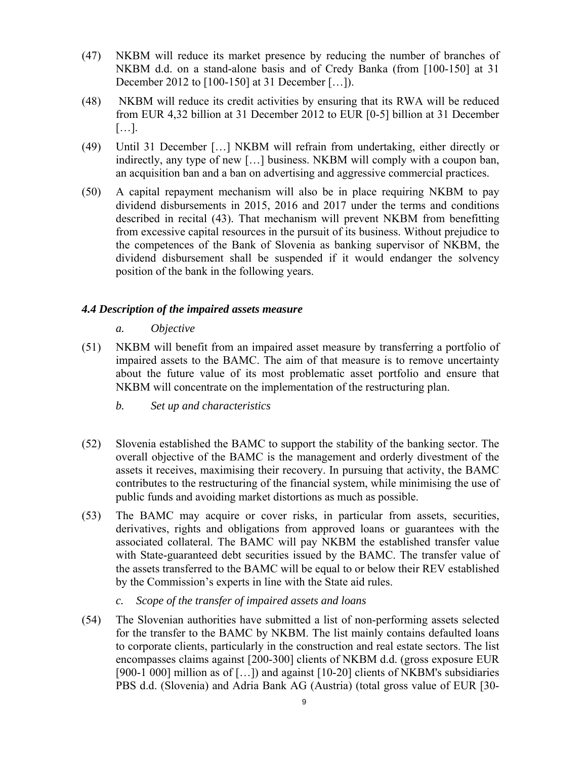- (47) NKBM will reduce its market presence by reducing the number of branches of NKBM d.d. on a stand-alone basis and of Credy Banka (from [100-150] at 31 December 2012 to [100-150] at 31 December […]).
- (48) NKBM will reduce its credit activities by ensuring that its RWA will be reduced from EUR 4,32 billion at 31 December 2012 to EUR [0-5] billion at 31 December […].
- (49) Until 31 December […] NKBM will refrain from undertaking, either directly or indirectly, any type of new […] business. NKBM will comply with a coupon ban, an acquisition ban and a ban on advertising and aggressive commercial practices.
- <span id="page-8-0"></span>(50) A capital repayment mechanism will also be in place requiring NKBM to pay dividend disbursements in 2015, 2016 and 2017 under the terms and conditions described in recital (43). That mechanism will prevent NKBM from benefitting from excessive capital resources in the pursuit of its business. Without prejudice to the competences of the Bank of Slovenia as banking supervisor of NKBM, the dividend disbursement shall be suspended if it would endanger the solvency position of the bank in the following years.

## *4.4 Description of the impaired assets measure*

- *a. Objective*
- (51) NKBM will benefit from an impaired asset measure by transferring a portfolio of impaired assets to the BAMC. The aim of that measure is to remove uncertainty about the future value of its most problematic asset portfolio and ensure that NKBM will concentrate on the implementation of the restructuring plan.
	- *b. Set up and characteristics*
- (52) Slovenia established the BAMC to support the stability of the banking sector. The overall objective of the BAMC is the management and orderly divestment of the assets it receives, maximising their recovery. In pursuing that activity, the BAMC contributes to the restructuring of the financial system, while minimising the use of public funds and avoiding market distortions as much as possible.
- (53) The BAMC may acquire or cover risks, in particular from assets, securities, derivatives, rights and obligations from approved loans or guarantees with the associated collateral. The BAMC will pay NKBM the established transfer value with State-guaranteed debt securities issued by the BAMC. The transfer value of the assets transferred to the BAMC will be equal to or below their REV established by the Commission's experts in line with the State aid rules.
	- *c. Scope of the transfer of impaired assets and loans*
- (54) The Slovenian authorities have submitted a list of non-performing assets selected for the transfer to the BAMC by NKBM. The list mainly contains defaulted loans to corporate clients, particularly in the construction and real estate sectors. The list encompasses claims against [200-300] clients of NKBM d.d. (gross exposure EUR [900-1 000] million as of [...]) and against [10-20] clients of NKBM's subsidiaries PBS d.d. (Slovenia) and Adria Bank AG (Austria) (total gross value of EUR [30-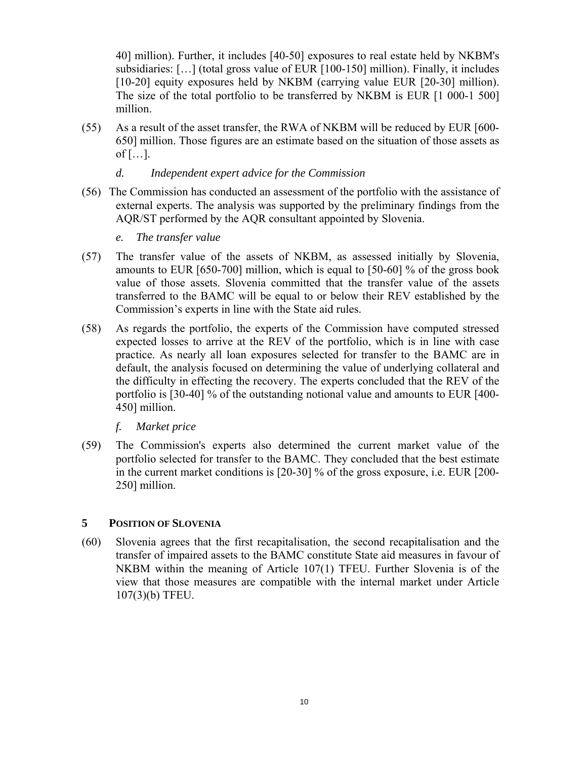40] million). Further, it includes [40-50] exposures to real estate held by NKBM's subsidiaries: […] (total gross value of EUR [100-150] million). Finally, it includes [10-20] equity exposures held by NKBM (carrying value EUR [20-30] million). The size of the total portfolio to be transferred by NKBM is EUR [1 000-1 500] million.

(55) As a result of the asset transfer, the RWA of NKBM will be reduced by EUR [600- 650] million. Those figures are an estimate based on the situation of those assets as of  $[\ldots]$ .

# *d. Independent expert advice for the Commission*

- (56) The Commission has conducted an assessment of the portfolio with the assistance of external experts. The analysis was supported by the preliminary findings from the AQR/ST performed by the AQR consultant appointed by Slovenia.
	- *e. The transfer value*
- (57) The transfer value of the assets of NKBM, as assessed initially by Slovenia, amounts to EUR [650-700] million, which is equal to [50-60] % of the gross book value of those assets. Slovenia committed that the transfer value of the assets transferred to the BAMC will be equal to or below their REV established by the Commission's experts in line with the State aid rules.
- (58) As regards the portfolio, the experts of the Commission have computed stressed expected losses to arrive at the REV of the portfolio, which is in line with case practice. As nearly all loan exposures selected for transfer to the BAMC are in default, the analysis focused on determining the value of underlying collateral and the difficulty in effecting the recovery. The experts concluded that the REV of the portfolio is [30-40] % of the outstanding notional value and amounts to EUR [400- 450] million.
	- *f. Market price*
- (59) The Commission's experts also determined the current market value of the portfolio selected for transfer to the BAMC. They concluded that the best estimate in the current market conditions is [20-30] % of the gross exposure, i.e. EUR [200- 250] million.

## **5 POSITION OF SLOVENIA**

(60) Slovenia agrees that the first recapitalisation, the second recapitalisation and the transfer of impaired assets to the BAMC constitute State aid measures in favour of NKBM within the meaning of Article 107(1) TFEU. Further Slovenia is of the view that those measures are compatible with the internal market under Article 107(3)(b) TFEU.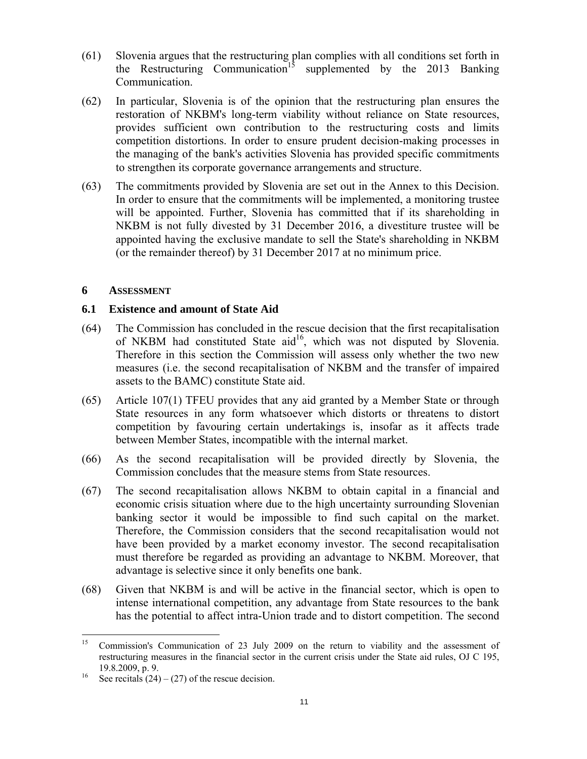- (61) Slovenia argues that the restructuring plan complies with all conditions set forth in the Restructuring Communication<sup>15</sup> supplemented by the 2013 Banking Communication.
- (62) In particular, Slovenia is of the opinion that the restructuring plan ensures the restoration of NKBM's long-term viability without reliance on State resources, provides sufficient own contribution to the restructuring costs and limits competition distortions. In order to ensure prudent decision-making processes in the managing of the bank's activities Slovenia has provided specific commitments to strengthen its corporate governance arrangements and structure.
- (63) The commitments provided by Slovenia are set out in the Annex to this Decision. In order to ensure that the commitments will be implemented, a monitoring trustee will be appointed. Further, Slovenia has committed that if its shareholding in NKBM is not fully divested by 31 December 2016, a divestiture trustee will be appointed having the exclusive mandate to sell the State's shareholding in NKBM (or the remainder thereof) by 31 December 2017 at no minimum price.

### **6 ASSESSMENT**

### **6.1 Existence and amount of State Aid**

- (64) The Commission has concluded in the rescue decision that the first recapitalisation of NKBM had constituted State aid<sup>16</sup>, which was not disputed by Slovenia. Therefore in this section the Commission will assess only whether the two new measures (i.e. the second recapitalisation of NKBM and the transfer of impaired assets to the BAMC) constitute State aid.
- (65) Article 107(1) TFEU provides that any aid granted by a Member State or through State resources in any form whatsoever which distorts or threatens to distort competition by favouring certain undertakings is, insofar as it affects trade between Member States, incompatible with the internal market.
- (66) As the second recapitalisation will be provided directly by Slovenia, the Commission concludes that the measure stems from State resources.
- (67) The second recapitalisation allows NKBM to obtain capital in a financial and economic crisis situation where due to the high uncertainty surrounding Slovenian banking sector it would be impossible to find such capital on the market. Therefore, the Commission considers that the second recapitalisation would not have been provided by a market economy investor. The second recapitalisation must therefore be regarded as providing an advantage to NKBM. Moreover, that advantage is selective since it only benefits one bank.
- (68) Given that NKBM is and will be active in the financial sector, which is open to intense international competition, any advantage from State resources to the bank has the potential to affect intra-Union trade and to distort competition. The second

<sup>15</sup> 15 Commission's Communication of 23 July 2009 on the return to viability and the assessment of restructuring measures in the financial sector in the current crisis under the State aid rules, OJ C 195, 19.8.2009, p. 9.<br><sup>16</sup> See recitals  $(24) - (27)$  of the rescue decision.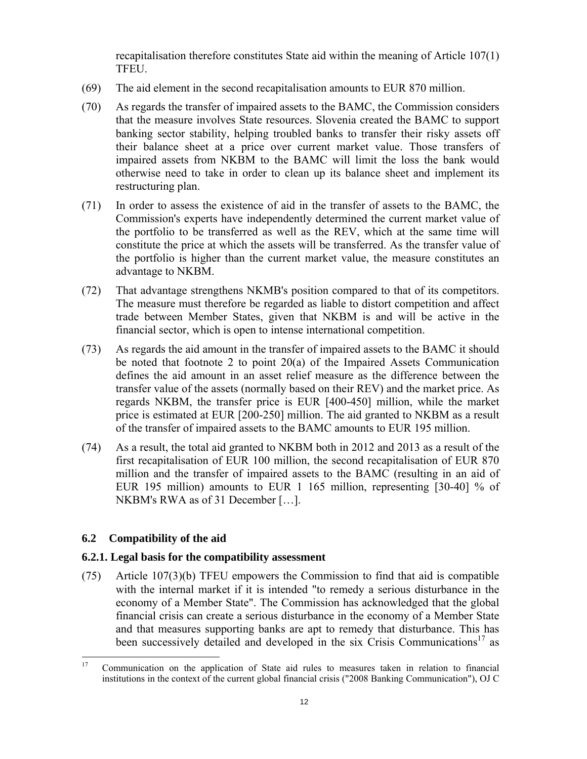recapitalisation therefore constitutes State aid within the meaning of Article 107(1) TFEU.

- (69) The aid element in the second recapitalisation amounts to EUR 870 million.
- (70) As regards the transfer of impaired assets to the BAMC, the Commission considers that the measure involves State resources. Slovenia created the BAMC to support banking sector stability, helping troubled banks to transfer their risky assets off their balance sheet at a price over current market value. Those transfers of impaired assets from NKBM to the BAMC will limit the loss the bank would otherwise need to take in order to clean up its balance sheet and implement its restructuring plan.
- (71) In order to assess the existence of aid in the transfer of assets to the BAMC, the Commission's experts have independently determined the current market value of the portfolio to be transferred as well as the REV, which at the same time will constitute the price at which the assets will be transferred. As the transfer value of the portfolio is higher than the current market value, the measure constitutes an advantage to NKBM.
- (72) That advantage strengthens NKMB's position compared to that of its competitors. The measure must therefore be regarded as liable to distort competition and affect trade between Member States, given that NKBM is and will be active in the financial sector, which is open to intense international competition.
- (73) As regards the aid amount in the transfer of impaired assets to the BAMC it should be noted that footnote 2 to point 20(a) of the Impaired Assets Communication defines the aid amount in an asset relief measure as the difference between the transfer value of the assets (normally based on their REV) and the market price. As regards NKBM, the transfer price is EUR [400-450] million, while the market price is estimated at EUR [200-250] million. The aid granted to NKBM as a result of the transfer of impaired assets to the BAMC amounts to EUR 195 million.
- (74) As a result, the total aid granted to NKBM both in 2012 and 2013 as a result of the first recapitalisation of EUR 100 million, the second recapitalisation of EUR 870 million and the transfer of impaired assets to the BAMC (resulting in an aid of EUR 195 million) amounts to EUR 1 165 million, representing [30-40] % of NKBM's RWA as of 31 December […].

# **6.2 Compatibility of the aid**

## **6.2.1. Legal basis for the compatibility assessment**

(75) Article 107(3)(b) TFEU empowers the Commission to find that aid is compatible with the internal market if it is intended "to remedy a serious disturbance in the economy of a Member State". The Commission has acknowledged that the global financial crisis can create a serious disturbance in the economy of a Member State and that measures supporting banks are apt to remedy that disturbance. This has been successively detailed and developed in the six Crisis Communications<sup>17</sup> as

 $17\,$ 17 Communication on the application of State aid rules to measures taken in relation to financial institutions in the context of the current global financial crisis ("2008 Banking Communication"), OJ C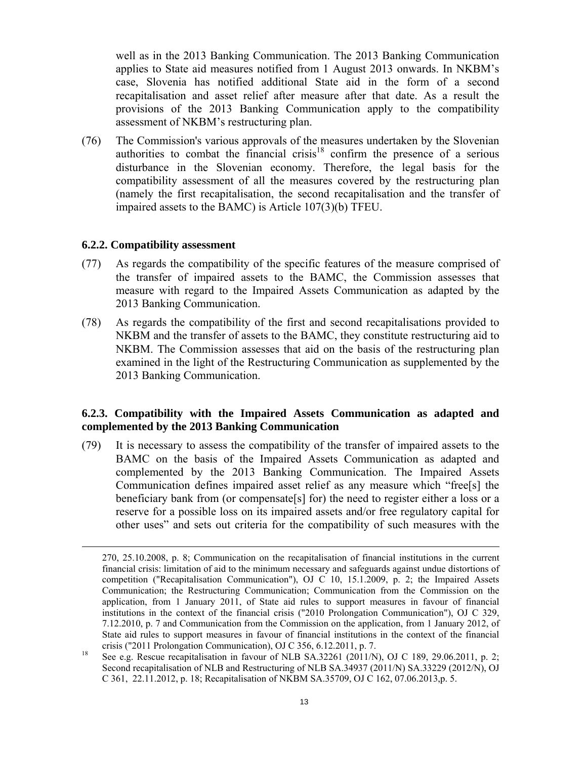well as in the 2013 Banking Communication. The 2013 Banking Communication applies to State aid measures notified from 1 August 2013 onwards. In NKBM's case, Slovenia has notified additional State aid in the form of a second recapitalisation and asset relief after measure after that date. As a result the provisions of the 2013 Banking Communication apply to the compatibility assessment of NKBM's restructuring plan.

(76) The Commission's various approvals of the measures undertaken by the Slovenian authorities to combat the financial crisis<sup>18</sup> confirm the presence of a serious disturbance in the Slovenian economy. Therefore, the legal basis for the compatibility assessment of all the measures covered by the restructuring plan (namely the first recapitalisation, the second recapitalisation and the transfer of impaired assets to the BAMC) is Article 107(3)(b) TFEU.

### **6.2.2. Compatibility assessment**

- (77) As regards the compatibility of the specific features of the measure comprised of the transfer of impaired assets to the BAMC, the Commission assesses that measure with regard to the Impaired Assets Communication as adapted by the 2013 Banking Communication.
- (78) As regards the compatibility of the first and second recapitalisations provided to NKBM and the transfer of assets to the BAMC, they constitute restructuring aid to NKBM. The Commission assesses that aid on the basis of the restructuring plan examined in the light of the Restructuring Communication as supplemented by the 2013 Banking Communication.

# **6.2.3. Compatibility with the Impaired Assets Communication as adapted and complemented by the 2013 Banking Communication**

(79) It is necessary to assess the compatibility of the transfer of impaired assets to the BAMC on the basis of the Impaired Assets Communication as adapted and complemented by the 2013 Banking Communication. The Impaired Assets Communication defines impaired asset relief as any measure which "free[s] the beneficiary bank from (or compensate[s] for) the need to register either a loss or a reserve for a possible loss on its impaired assets and/or free regulatory capital for other uses" and sets out criteria for the compatibility of such measures with the

 <sup>270, 25.10.2008,</sup> p. 8; Communication on the recapitalisation of financial institutions in the current financial crisis: limitation of aid to the minimum necessary and safeguards against undue distortions of competition ("Recapitalisation Communication"), OJ C 10, 15.1.2009, p. 2; the Impaired Assets Communication; the Restructuring Communication; Communication from the Commission on the application, from 1 January 2011, of State aid rules to support measures in favour of financial institutions in the context of the financial crisis ("2010 Prolongation Communication"), OJ C 329, 7.12.2010, p. 7 and Communication from the Commission on the application, from 1 January 2012, of State aid rules to support measures in favour of financial institutions in the context of the financial crisis ("2011 Prolongation Communication), OJ C 356, 6.12.2011, p. 7.<br><sup>18</sup> See e.g. Rescue recapitalisation in favour of NLB SA.32261 (2011/N), OJ C 189, 29.06.2011, p. 2;

Second recapitalisation of NLB and Restructuring of NLB SA.34937 (2011/N) SA.33229 (2012/N), OJ C 361, 22.11.2012, p. 18; Recapitalisation of NKBM SA.35709, OJ C 162, 07.06.2013,p. 5.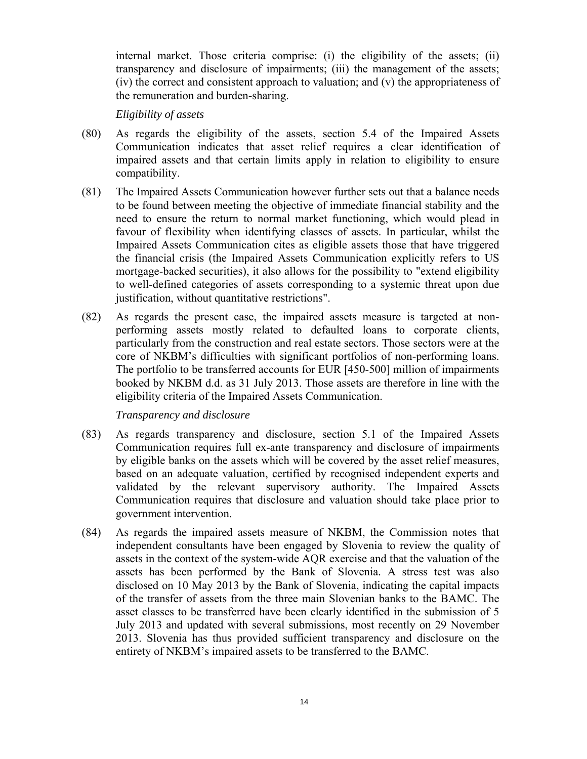internal market. Those criteria comprise: (i) the eligibility of the assets; (ii) transparency and disclosure of impairments; (iii) the management of the assets; (iv) the correct and consistent approach to valuation; and (v) the appropriateness of the remuneration and burden-sharing.

*Eligibility of assets* 

- (80) As regards the eligibility of the assets, section 5.4 of the Impaired Assets Communication indicates that asset relief requires a clear identification of impaired assets and that certain limits apply in relation to eligibility to ensure compatibility.
- (81) The Impaired Assets Communication however further sets out that a balance needs to be found between meeting the objective of immediate financial stability and the need to ensure the return to normal market functioning, which would plead in favour of flexibility when identifying classes of assets. In particular, whilst the Impaired Assets Communication cites as eligible assets those that have triggered the financial crisis (the Impaired Assets Communication explicitly refers to US mortgage-backed securities), it also allows for the possibility to "extend eligibility to well-defined categories of assets corresponding to a systemic threat upon due justification, without quantitative restrictions".
- (82) As regards the present case, the impaired assets measure is targeted at nonperforming assets mostly related to defaulted loans to corporate clients, particularly from the construction and real estate sectors. Those sectors were at the core of NKBM's difficulties with significant portfolios of non-performing loans. The portfolio to be transferred accounts for EUR [450-500] million of impairments booked by NKBM d.d. as 31 July 2013. Those assets are therefore in line with the eligibility criteria of the Impaired Assets Communication.

*Transparency and disclosure* 

- (83) As regards transparency and disclosure, section 5.1 of the Impaired Assets Communication requires full ex-ante transparency and disclosure of impairments by eligible banks on the assets which will be covered by the asset relief measures, based on an adequate valuation, certified by recognised independent experts and validated by the relevant supervisory authority. The Impaired Assets Communication requires that disclosure and valuation should take place prior to government intervention.
- (84) As regards the impaired assets measure of NKBM, the Commission notes that independent consultants have been engaged by Slovenia to review the quality of assets in the context of the system-wide AQR exercise and that the valuation of the assets has been performed by the Bank of Slovenia. A stress test was also disclosed on 10 May 2013 by the Bank of Slovenia, indicating the capital impacts of the transfer of assets from the three main Slovenian banks to the BAMC. The asset classes to be transferred have been clearly identified in the submission of 5 July 2013 and updated with several submissions, most recently on 29 November 2013. Slovenia has thus provided sufficient transparency and disclosure on the entirety of NKBM's impaired assets to be transferred to the BAMC.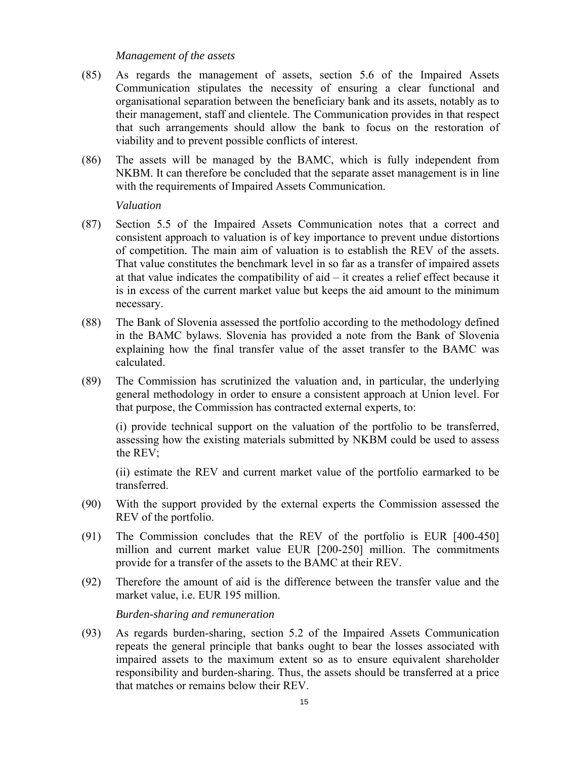### *Management of the assets*

- (85) As regards the management of assets, section 5.6 of the Impaired Assets Communication stipulates the necessity of ensuring a clear functional and organisational separation between the beneficiary bank and its assets, notably as to their management, staff and clientele. The Communication provides in that respect that such arrangements should allow the bank to focus on the restoration of viability and to prevent possible conflicts of interest.
- (86) The assets will be managed by the BAMC, which is fully independent from NKBM. It can therefore be concluded that the separate asset management is in line with the requirements of Impaired Assets Communication.

### *Valuation*

- (87) Section 5.5 of the Impaired Assets Communication notes that a correct and consistent approach to valuation is of key importance to prevent undue distortions of competition. The main aim of valuation is to establish the REV of the assets. That value constitutes the benchmark level in so far as a transfer of impaired assets at that value indicates the compatibility of aid – it creates a relief effect because it is in excess of the current market value but keeps the aid amount to the minimum necessary.
- (88) The Bank of Slovenia assessed the portfolio according to the methodology defined in the BAMC bylaws. Slovenia has provided a note from the Bank of Slovenia explaining how the final transfer value of the asset transfer to the BAMC was calculated.
- (89) The Commission has scrutinized the valuation and, in particular, the underlying general methodology in order to ensure a consistent approach at Union level. For that purpose, the Commission has contracted external experts, to:

(i) provide technical support on the valuation of the portfolio to be transferred, assessing how the existing materials submitted by NKBM could be used to assess the REV;

(ii) estimate the REV and current market value of the portfolio earmarked to be transferred.

- (90) With the support provided by the external experts the Commission assessed the REV of the portfolio.
- (91) The Commission concludes that the REV of the portfolio is EUR [400-450] million and current market value EUR [200-250] million. The commitments provide for a transfer of the assets to the BAMC at their REV.
- (92) Therefore the amount of aid is the difference between the transfer value and the market value, i.e. EUR 195 million.

 *Burden-sharing and remuneration* 

(93) As regards burden-sharing, section 5.2 of the Impaired Assets Communication repeats the general principle that banks ought to bear the losses associated with impaired assets to the maximum extent so as to ensure equivalent shareholder responsibility and burden-sharing. Thus, the assets should be transferred at a price that matches or remains below their REV.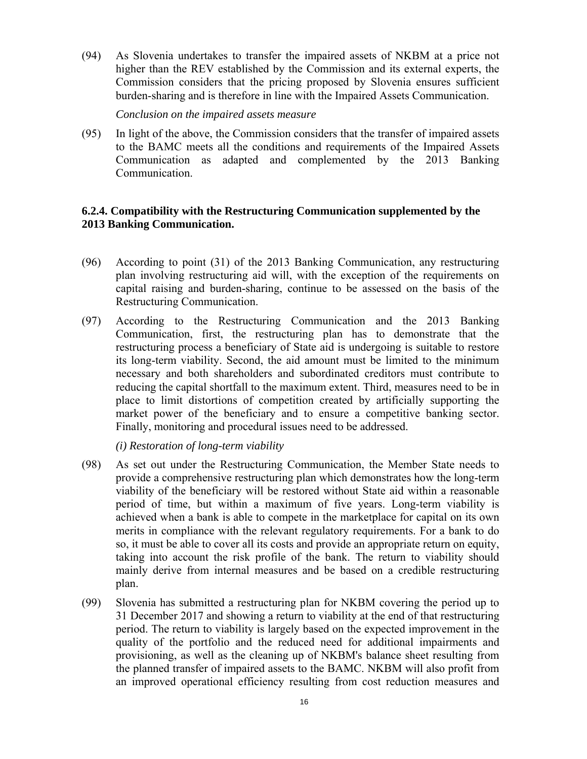(94) As Slovenia undertakes to transfer the impaired assets of NKBM at a price not higher than the REV established by the Commission and its external experts, the Commission considers that the pricing proposed by Slovenia ensures sufficient burden-sharing and is therefore in line with the Impaired Assets Communication.

*Conclusion on the impaired assets measure* 

(95) In light of the above, the Commission considers that the transfer of impaired assets to the BAMC meets all the conditions and requirements of the Impaired Assets Communication as adapted and complemented by the 2013 Banking Communication.

## **6.2.4. Compatibility with the Restructuring Communication supplemented by the 2013 Banking Communication.**

- (96) According to point (31) of the 2013 Banking Communication, any restructuring plan involving restructuring aid will, with the exception of the requirements on capital raising and burden-sharing, continue to be assessed on the basis of the Restructuring Communication.
- (97) According to the Restructuring Communication and the 2013 Banking Communication, first, the restructuring plan has to demonstrate that the restructuring process a beneficiary of State aid is undergoing is suitable to restore its long-term viability. Second, the aid amount must be limited to the minimum necessary and both shareholders and subordinated creditors must contribute to reducing the capital shortfall to the maximum extent. Third, measures need to be in place to limit distortions of competition created by artificially supporting the market power of the beneficiary and to ensure a competitive banking sector. Finally, monitoring and procedural issues need to be addressed.

*(i) Restoration of long-term viability*

- (98) As set out under the Restructuring Communication, the Member State needs to provide a comprehensive restructuring plan which demonstrates how the long-term viability of the beneficiary will be restored without State aid within a reasonable period of time, but within a maximum of five years. Long-term viability is achieved when a bank is able to compete in the marketplace for capital on its own merits in compliance with the relevant regulatory requirements. For a bank to do so, it must be able to cover all its costs and provide an appropriate return on equity, taking into account the risk profile of the bank. The return to viability should mainly derive from internal measures and be based on a credible restructuring plan.
- (99) Slovenia has submitted a restructuring plan for NKBM covering the period up to 31 December 2017 and showing a return to viability at the end of that restructuring period. The return to viability is largely based on the expected improvement in the quality of the portfolio and the reduced need for additional impairments and provisioning, as well as the cleaning up of NKBM's balance sheet resulting from the planned transfer of impaired assets to the BAMC. NKBM will also profit from an improved operational efficiency resulting from cost reduction measures and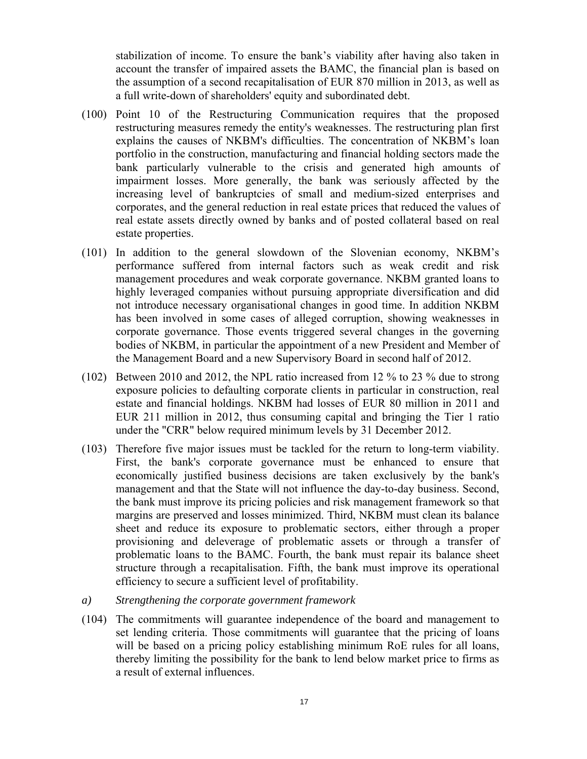stabilization of income. To ensure the bank's viability after having also taken in account the transfer of impaired assets the BAMC, the financial plan is based on the assumption of a second recapitalisation of EUR 870 million in 2013, as well as a full write-down of shareholders' equity and subordinated debt.

- (100) Point 10 of the Restructuring Communication requires that the proposed restructuring measures remedy the entity's weaknesses. The restructuring plan first explains the causes of NKBM's difficulties. The concentration of NKBM's loan portfolio in the construction, manufacturing and financial holding sectors made the bank particularly vulnerable to the crisis and generated high amounts of impairment losses. More generally, the bank was seriously affected by the increasing level of bankruptcies of small and medium-sized enterprises and corporates, and the general reduction in real estate prices that reduced the values of real estate assets directly owned by banks and of posted collateral based on real estate properties.
- (101) In addition to the general slowdown of the Slovenian economy, NKBM's performance suffered from internal factors such as weak credit and risk management procedures and weak corporate governance. NKBM granted loans to highly leveraged companies without pursuing appropriate diversification and did not introduce necessary organisational changes in good time. In addition NKBM has been involved in some cases of alleged corruption, showing weaknesses in corporate governance. Those events triggered several changes in the governing bodies of NKBM, in particular the appointment of a new President and Member of the Management Board and a new Supervisory Board in second half of 2012.
- (102) Between 2010 and 2012, the NPL ratio increased from 12 % to 23 % due to strong exposure policies to defaulting corporate clients in particular in construction, real estate and financial holdings. NKBM had losses of EUR 80 million in 2011 and EUR 211 million in 2012, thus consuming capital and bringing the Tier 1 ratio under the "CRR" below required minimum levels by 31 December 2012.
- (103) Therefore five major issues must be tackled for the return to long-term viability. First, the bank's corporate governance must be enhanced to ensure that economically justified business decisions are taken exclusively by the bank's management and that the State will not influence the day-to-day business. Second, the bank must improve its pricing policies and risk management framework so that margins are preserved and losses minimized. Third, NKBM must clean its balance sheet and reduce its exposure to problematic sectors, either through a proper provisioning and deleverage of problematic assets or through a transfer of problematic loans to the BAMC. Fourth, the bank must repair its balance sheet structure through a recapitalisation. Fifth, the bank must improve its operational efficiency to secure a sufficient level of profitability.
- *a) Strengthening the corporate government framework*
- (104) The commitments will guarantee independence of the board and management to set lending criteria. Those commitments will guarantee that the pricing of loans will be based on a pricing policy establishing minimum RoE rules for all loans, thereby limiting the possibility for the bank to lend below market price to firms as a result of external influences.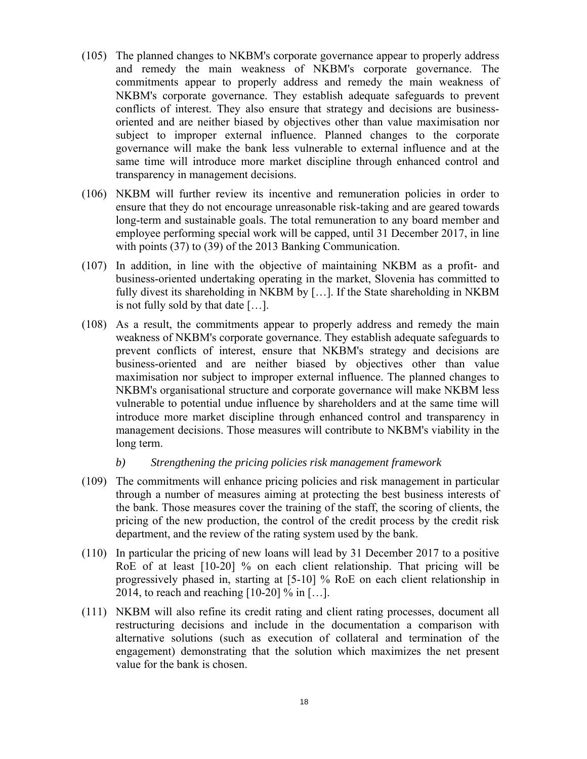- (105) The planned changes to NKBM's corporate governance appear to properly address and remedy the main weakness of NKBM's corporate governance. The commitments appear to properly address and remedy the main weakness of NKBM's corporate governance. They establish adequate safeguards to prevent conflicts of interest. They also ensure that strategy and decisions are businessoriented and are neither biased by objectives other than value maximisation nor subject to improper external influence. Planned changes to the corporate governance will make the bank less vulnerable to external influence and at the same time will introduce more market discipline through enhanced control and transparency in management decisions.
- (106) NKBM will further review its incentive and remuneration policies in order to ensure that they do not encourage unreasonable risk-taking and are geared towards long-term and sustainable goals. The total remuneration to any board member and employee performing special work will be capped, until 31 December 2017, in line with points (37) to (39) of the 2013 Banking Communication.
- (107) In addition, in line with the objective of maintaining NKBM as a profit- and business-oriented undertaking operating in the market, Slovenia has committed to fully divest its shareholding in NKBM by […]. If the State shareholding in NKBM is not fully sold by that date […].
- (108) As a result, the commitments appear to properly address and remedy the main weakness of NKBM's corporate governance. They establish adequate safeguards to prevent conflicts of interest, ensure that NKBM's strategy and decisions are business-oriented and are neither biased by objectives other than value maximisation nor subject to improper external influence. The planned changes to NKBM's organisational structure and corporate governance will make NKBM less vulnerable to potential undue influence by shareholders and at the same time will introduce more market discipline through enhanced control and transparency in management decisions. Those measures will contribute to NKBM's viability in the long term.
	- *b) Strengthening the pricing policies risk management framework*
- (109) The commitments will enhance pricing policies and risk management in particular through a number of measures aiming at protecting the best business interests of the bank. Those measures cover the training of the staff, the scoring of clients, the pricing of the new production, the control of the credit process by the credit risk department, and the review of the rating system used by the bank.
- (110) In particular the pricing of new loans will lead by 31 December 2017 to a positive RoE of at least [10-20] % on each client relationship. That pricing will be progressively phased in, starting at [5-10] % RoE on each client relationship in 2014, to reach and reaching  $[10-20]$  % in  $[...]$ .
- (111) NKBM will also refine its credit rating and client rating processes, document all restructuring decisions and include in the documentation a comparison with alternative solutions (such as execution of collateral and termination of the engagement) demonstrating that the solution which maximizes the net present value for the bank is chosen.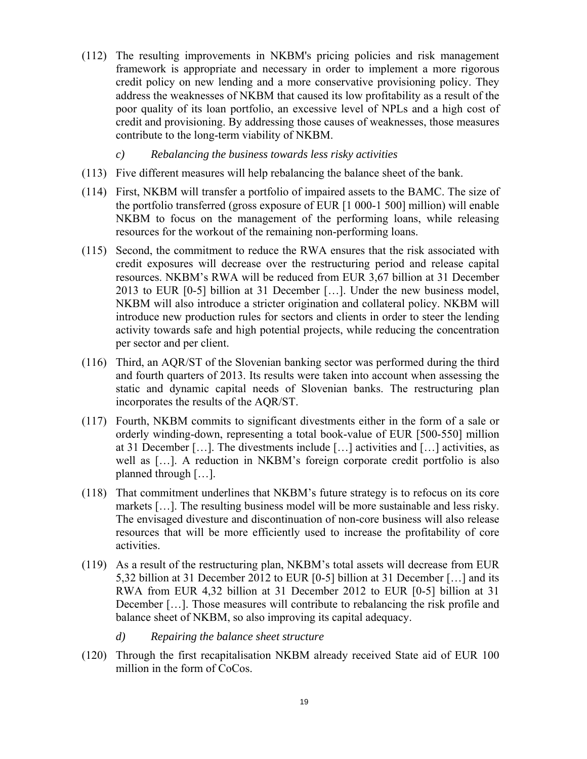- (112) The resulting improvements in NKBM's pricing policies and risk management framework is appropriate and necessary in order to implement a more rigorous credit policy on new lending and a more conservative provisioning policy. They address the weaknesses of NKBM that caused its low profitability as a result of the poor quality of its loan portfolio, an excessive level of NPLs and a high cost of credit and provisioning. By addressing those causes of weaknesses, those measures contribute to the long-term viability of NKBM.
	- *c) Rebalancing the business towards less risky activities*
- (113) Five different measures will help rebalancing the balance sheet of the bank.
- (114) First, NKBM will transfer a portfolio of impaired assets to the BAMC. The size of the portfolio transferred (gross exposure of EUR [1 000-1 500] million) will enable NKBM to focus on the management of the performing loans, while releasing resources for the workout of the remaining non-performing loans.
- (115) Second, the commitment to reduce the RWA ensures that the risk associated with credit exposures will decrease over the restructuring period and release capital resources. NKBM's RWA will be reduced from EUR 3,67 billion at 31 December 2013 to EUR [0-5] billion at 31 December […]. Under the new business model, NKBM will also introduce a stricter origination and collateral policy. NKBM will introduce new production rules for sectors and clients in order to steer the lending activity towards safe and high potential projects, while reducing the concentration per sector and per client.
- (116) Third, an AQR/ST of the Slovenian banking sector was performed during the third and fourth quarters of 2013. Its results were taken into account when assessing the static and dynamic capital needs of Slovenian banks. The restructuring plan incorporates the results of the AQR/ST.
- (117) Fourth, NKBM commits to significant divestments either in the form of a sale or orderly winding-down, representing a total book-value of EUR [500-550] million at 31 December […]. The divestments include […] activities and […] activities, as well as […]. A reduction in NKBM's foreign corporate credit portfolio is also planned through […].
- (118) That commitment underlines that NKBM's future strategy is to refocus on its core markets […]. The resulting business model will be more sustainable and less risky. The envisaged divesture and discontinuation of non-core business will also release resources that will be more efficiently used to increase the profitability of core activities.
- (119) As a result of the restructuring plan, NKBM's total assets will decrease from EUR 5,32 billion at 31 December 2012 to EUR [0-5] billion at 31 December […] and its RWA from EUR 4,32 billion at 31 December 2012 to EUR [0-5] billion at 31 December […]. Those measures will contribute to rebalancing the risk profile and balance sheet of NKBM, so also improving its capital adequacy.
	- *d) Repairing the balance sheet structure*
- (120) Through the first recapitalisation NKBM already received State aid of EUR 100 million in the form of CoCos.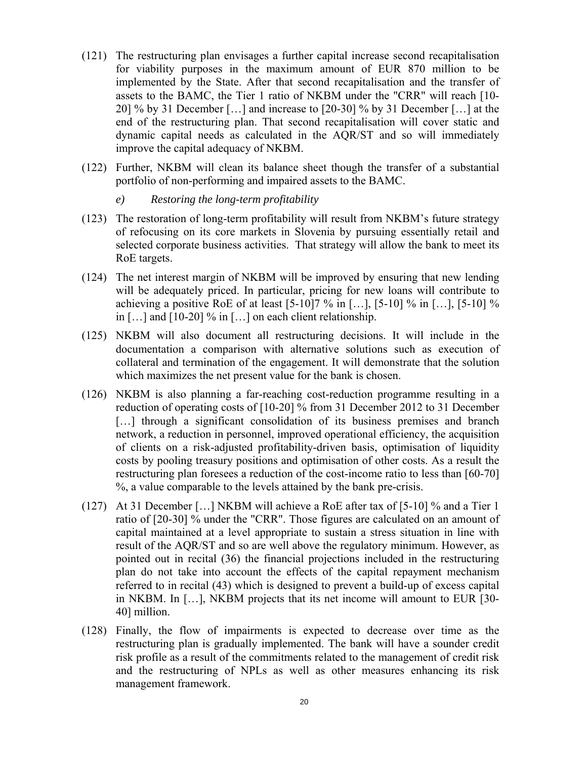- (121) The restructuring plan envisages a further capital increase second recapitalisation for viability purposes in the maximum amount of EUR 870 million to be implemented by the State. After that second recapitalisation and the transfer of assets to the BAMC, the Tier 1 ratio of NKBM under the "CRR" will reach [10- 20] % by 31 December […] and increase to [20-30] % by 31 December […] at the end of the restructuring plan. That second recapitalisation will cover static and dynamic capital needs as calculated in the AQR/ST and so will immediately improve the capital adequacy of NKBM.
- (122) Further, NKBM will clean its balance sheet though the transfer of a substantial portfolio of non-performing and impaired assets to the BAMC.
	- *e) Restoring the long-term profitability*
- (123) The restoration of long-term profitability will result from NKBM's future strategy of refocusing on its core markets in Slovenia by pursuing essentially retail and selected corporate business activities. That strategy will allow the bank to meet its RoE targets.
- (124) The net interest margin of NKBM will be improved by ensuring that new lending will be adequately priced. In particular, pricing for new loans will contribute to achieving a positive RoE of at least  $[5-10]7$  % in  $[...]$ ,  $[5-10]$  % in  $[...]$ ,  $[5-10]$  % in […] and [10-20] % in […] on each client relationship.
- (125) NKBM will also document all restructuring decisions. It will include in the documentation a comparison with alternative solutions such as execution of collateral and termination of the engagement. It will demonstrate that the solution which maximizes the net present value for the bank is chosen.
- (126) NKBM is also planning a far-reaching cost-reduction programme resulting in a reduction of operating costs of [10-20] % from 31 December 2012 to 31 December [...] through a significant consolidation of its business premises and branch network, a reduction in personnel, improved operational efficiency, the acquisition of clients on a risk-adjusted profitability-driven basis, optimisation of liquidity costs by pooling treasury positions and optimisation of other costs. As a result the restructuring plan foresees a reduction of the cost-income ratio to less than [60-70] %, a value comparable to the levels attained by the bank pre-crisis.
- (127) At 31 December […] NKBM will achieve a RoE after tax of [5-10] % and a Tier 1 ratio of [20-30] % under the "CRR". Those figures are calculated on an amount of capital maintained at a level appropriate to sustain a stress situation in line with result of the AQR/S[T and](#page-6-0) so are well above the regulatory minimum. However, as pointed out in recital (36) the financial projections included in the restructuring plan do not take [into a](#page-7-0)ccount the effects of the capital repayment mechanism referred to in recital (43) which is designed to prevent a build-up of excess capital in NKBM. In […], NKBM projects that its net income will amount to EUR [30- 40] million.
- (128) Finally, the flow of impairments is expected to decrease over time as the restructuring plan is gradually implemented. The bank will have a sounder credit risk profile as a result of the commitments related to the management of credit risk and the restructuring of NPLs as well as other measures enhancing its risk management framework.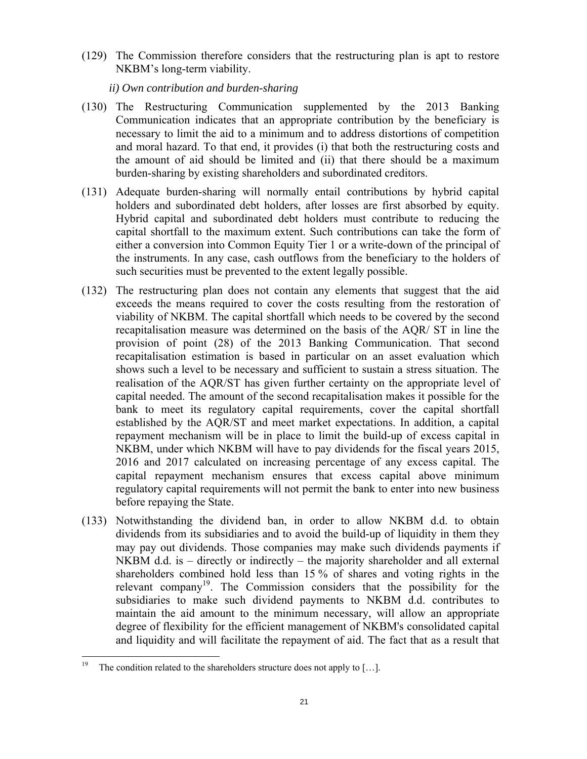(129) The Commission therefore considers that the restructuring plan is apt to restore NKBM's long-term viability.

*ii) Own contribution and burden-sharing*

- (130) The Restructuring Communication supplemented by the 2013 Banking Communication indicates that an appropriate contribution by the beneficiary is necessary to limit the aid to a minimum and to address distortions of competition and moral hazard. To that end, it provides (i) that both the restructuring costs and the amount of aid should be limited and (ii) that there should be a maximum burden-sharing by existing shareholders and subordinated creditors.
- (131) Adequate burden-sharing will normally entail contributions by hybrid capital holders and subordinated debt holders, after losses are first absorbed by equity. Hybrid capital and subordinated debt holders must contribute to reducing the capital shortfall to the maximum extent. Such contributions can take the form of either a conversion into Common Equity Tier 1 or a write-down of the principal of the instruments. In any case, cash outflows from the beneficiary to the holders of such securities must be prevented to the extent legally possible.
- (132) The restructuring plan does not contain any elements that suggest that the aid exceeds the means required to cover the costs resulting from the restoration of viability of NKBM. The capital shortfall which needs to be covered by the second recapitalisation measure was determined on the basis of the AQR/ ST in line the provision of point (28) of the 2013 Banking Communication. That second recapitalisation estimation is based in particular on an asset evaluation which shows such a level to be necessary and sufficient to sustain a stress situation. The realisation of the AQR/ST has given further certainty on the appropriate level of capital needed. The amount of the second recapitalisation makes it possible for the bank to meet its regulatory capital requirements, cover the capital shortfall established by the AQR/ST and meet market expectations. In addition, a capital repayment mechanism will be in place to limit the build-up of excess capital in NKBM, under which NKBM will have to pay dividends for the fiscal years 2015, 2016 and 2017 calculated on increasing percentage of any excess capital. The capital repayment mechanism ensures that excess capital above minimum regulatory capital requirements will not permit the bank to enter into new business before repaying the State.
- (133) Notwithstanding the dividend ban, in order to allow NKBM d.d. to obtain dividends from its subsidiaries and to avoid the build-up of liquidity in them they may pay out dividends. Those companies may make such dividends payments if NKBM d.d. is – directly or indirectly – the majority shareholder and all external shareholders combined hold less than 15 % of shares and voting rights in the relevant company<sup>19</sup>. The Commission considers that the possibility for the subsidiaries to make such dividend payments to NKBM d.d. contributes to maintain the aid amount to the minimum necessary, will allow an appropriate degree of flexibility for the efficient management of NKBM's consolidated capital and liquidity and will facilitate the repayment of aid. The fact that as a result that

<sup>19</sup> The condition related to the shareholders structure does not apply to  $[\dots]$ .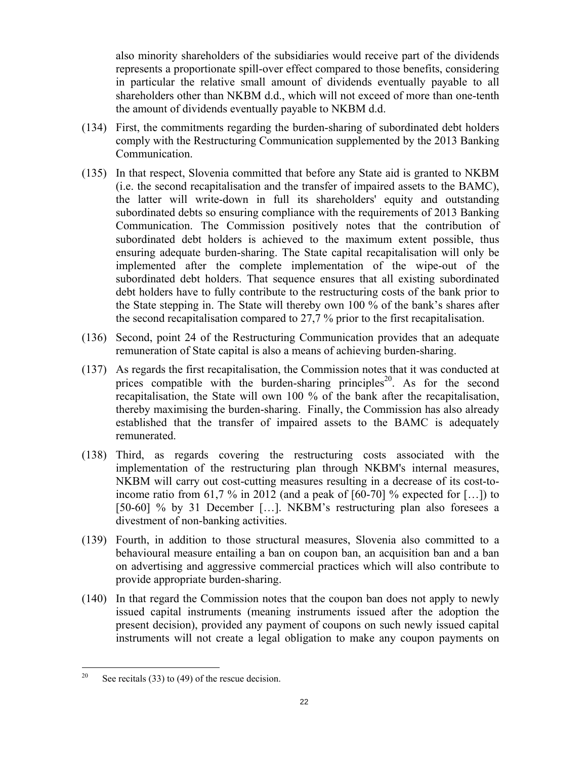also minority shareholders of the subsidiaries would receive part of the dividends represents a proportionate spill-over effect compared to those benefits, considering in particular the relative small amount of dividends eventually payable to all shareholders other than NKBM d.d., which will not exceed of more than one-tenth the amount of dividends eventually payable to NKBM d.d.

- (134) First, the commitments regarding the burden-sharing of subordinated debt holders comply with the Restructuring Communication supplemented by the 2013 Banking Communication.
- (135) In that respect, Slovenia committed that before any State aid is granted to NKBM (i.e. the second recapitalisation and the transfer of impaired assets to the BAMC), the latter will write-down in full its shareholders' equity and outstanding subordinated debts so ensuring compliance with the requirements of 2013 Banking Communication. The Commission positively notes that the contribution of subordinated debt holders is achieved to the maximum extent possible, thus ensuring adequate burden-sharing. The State capital recapitalisation will only be implemented after the complete implementation of the wipe-out of the subordinated debt holders. That sequence ensures that all existing subordinated debt holders have to fully contribute to the restructuring costs of the bank prior to the State stepping in. The State will thereby own 100 % of the bank's shares after the second recapitalisation compared to 27,7 % prior to the first recapitalisation.
- (136) Second, point 24 of the Restructuring Communication provides that an adequate remuneration of State capital is also a means of achieving burden-sharing.
- (137) As regards the first recapitalisation, the Commission notes that it was conducted at prices compatible with the burden-sharing principles<sup>20</sup>. As for the second recapitalisation, the State will own 100 % of the bank after the recapitalisation, thereby maximising the burden-sharing. Finally, the Commission has also already established that the transfer of impaired assets to the BAMC is adequately remunerated.
- (138) Third, as regards covering the restructuring costs associated with the implementation of the restructuring plan through NKBM's internal measures, NKBM will carry out cost-cutting measures resulting in a decrease of its cost-toincome ratio from 61,7 % in 2012 (and a peak of  $[60-70]$  % expected for  $[...]$ ) to [50-60] % by 31 December […]. NKBM's restructuring plan also foresees a divestment of non-banking activities.
- (139) Fourth, in addition to those structural measures, Slovenia also committed to a behavioural measure entailing a ban on coupon ban, an acquisition ban and a ban on advertising and aggressive commercial practices which will also contribute to provide appropriate burden-sharing.
- (140) In that regard the Commission notes that the coupon ban does not apply to newly issued capital instruments (meaning instruments issued after the adoption the present decision), provided any payment of coupons on such newly issued capital instruments will not create a legal obligation to make any coupon payments on

 $20\,$ See recitals  $(33)$  to  $(49)$  of the rescue decision.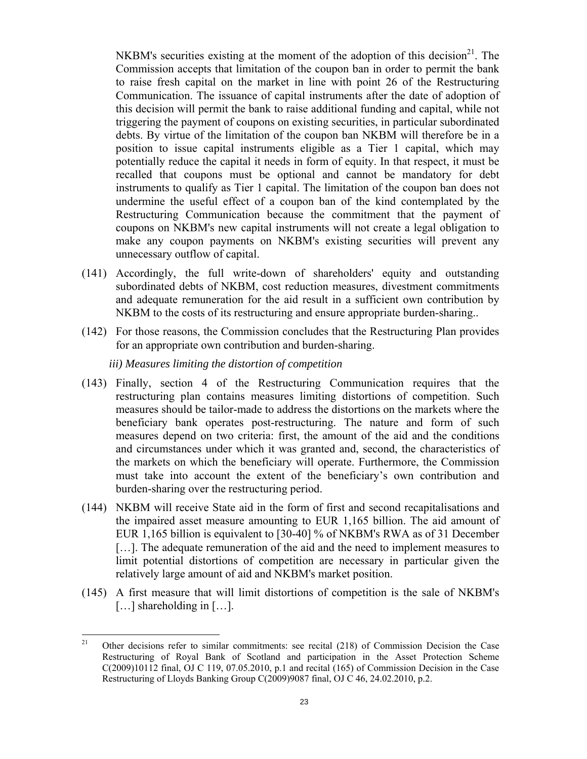NKBM's securities existing at the moment of the adoption of this decision<sup>21</sup>. The Commission accepts that limitation of the coupon ban in order to permit the bank to raise fresh capital on the market in line with point 26 of the Restructuring Communication. The issuance of capital instruments after the date of adoption of this decision will permit the bank to raise additional funding and capital, while not triggering the payment of coupons on existing securities, in particular subordinated debts. By virtue of the limitation of the coupon ban NKBM will therefore be in a position to issue capital instruments eligible as a Tier 1 capital, which may potentially reduce the capital it needs in form of equity. In that respect, it must be recalled that coupons must be optional and cannot be mandatory for debt instruments to qualify as Tier 1 capital. The limitation of the coupon ban does not undermine the useful effect of a coupon ban of the kind contemplated by the Restructuring Communication because the commitment that the payment of coupons on NKBM's new capital instruments will not create a legal obligation to make any coupon payments on NKBM's existing securities will prevent any unnecessary outflow of capital.

- (141) Accordingly, the full write-down of shareholders' equity and outstanding subordinated debts of NKBM, cost reduction measures, divestment commitments and adequate remuneration for the aid result in a sufficient own contribution by NKBM to the costs of its restructuring and ensure appropriate burden-sharing..
- (142) For those reasons, the Commission concludes that the Restructuring Plan provides for an appropriate own contribution and burden-sharing.

### *iii) Measures limiting the distortion of competition*

- (143) Finally, section 4 of the Restructuring Communication requires that the restructuring plan contains measures limiting distortions of competition. Such measures should be tailor-made to address the distortions on the markets where the beneficiary bank operates post-restructuring. The nature and form of such measures depend on two criteria: first, the amount of the aid and the conditions and circumstances under which it was granted and, second, the characteristics of the markets on which the beneficiary will operate. Furthermore, the Commission must take into account the extent of the beneficiary's own contribution and burden-sharing over the restructuring period.
- (144) NKBM will receive State aid in the form of first and second recapitalisations and the impaired asset measure amounting to EUR 1,165 billion. The aid amount of EUR 1,165 billion is equivalent to [30-40] % of NKBM's RWA as of 31 December [...]. The adequate remuneration of the aid and the need to implement measures to limit potential distortions of competition are necessary in particular given the relatively large amount of aid and NKBM's market position.
- (145) A first measure that will limit distortions of competition is the sale of NKBM's [...] shareholding in [...].

<sup>21</sup> 21 Other decisions refer to similar commitments: see recital (218) of Commission Decision the Case Restructuring of Royal Bank of Scotland and participation in the Asset Protection Scheme  $C(2009)10112$  final, OJ C 119, 07.05.2010, p.1 and recital  $(165)$  of Commission Decision in the Case Restructuring of Lloyds Banking Group C(2009)9087 final, OJ C 46, 24.02.2010, p.2.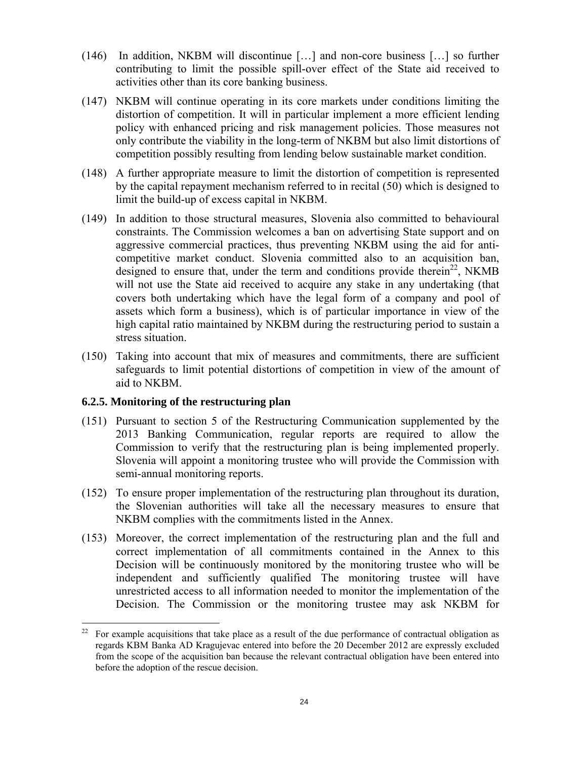- (146) In addition, NKBM will discontinue […] and non-core business […] so further contributing to limit the possible spill-over effect of the State aid received to activities other than its core banking business.
- (147) NKBM will continue operating in its core markets under conditions limiting the distortion of competition. It will in particular implement a more efficient lending policy with enhanced pricing and risk management policies. Those measures not only contribute the viability in the long-term of NKBM but also limit distortions of competition possibly resulting from lending below sustainable market condition.
- (148) A further appropriate measure to limit the distortion of [comp](#page-8-0)etition is represented by the capital repayment mechanism referred to in recital (50) which is designed to limit the build-up of excess capital in NKBM.
- (149) In addition to those structural measures, Slovenia also committed to behavioural constraints. The Commission welcomes a ban on advertising State support and on aggressive commercial practices, thus preventing NKBM using the aid for anticompetitive market conduct. Slovenia committed also to an acquisition ban, designed to ensure that, under the term and conditions provide therein<sup>22</sup>, NKMB will not use the State aid received to acquire any stake in any undertaking (that covers both undertaking which have the legal form of a company and pool of assets which form a business), which is of particular importance in view of the high capital ratio maintained by NKBM during the restructuring period to sustain a stress situation.
- (150) Taking into account that mix of measures and commitments, there are sufficient safeguards to limit potential distortions of competition in view of the amount of aid to NKBM.

## **6.2.5. Monitoring of the restructuring plan**

- (151) Pursuant to section 5 of the Restructuring Communication supplemented by the 2013 Banking Communication, regular reports are required to allow the Commission to verify that the restructuring plan is being implemented properly. Slovenia will appoint a monitoring trustee who will provide the Commission with semi-annual monitoring reports.
- (152) To ensure proper implementation of the restructuring plan throughout its duration, the Slovenian authorities will take all the necessary measures to ensure that NKBM complies with the commitments listed in the Annex.
- (153) Moreover, the correct implementation of the restructuring plan and the full and correct implementation of all commitments contained in the Annex to this Decision will be continuously monitored by the monitoring trustee who will be independent and sufficiently qualified The monitoring trustee will have unrestricted access to all information needed to monitor the implementation of the Decision. The Commission or the monitoring trustee may ask NKBM for

 $22\,$ 22 For example acquisitions that take place as a result of the due performance of contractual obligation as regards KBM Banka AD Kragujevac entered into before the 20 December 2012 are expressly excluded from the scope of the acquisition ban because the relevant contractual obligation have been entered into before the adoption of the rescue decision.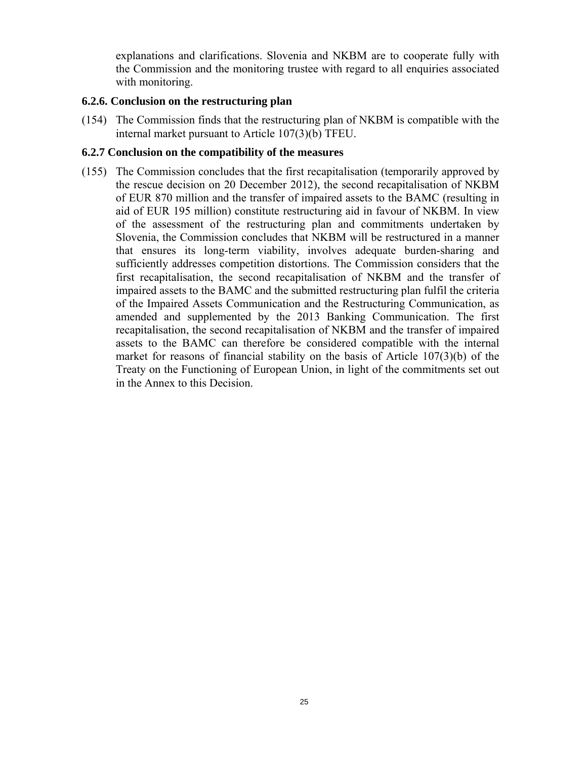explanations and clarifications. Slovenia and NKBM are to cooperate fully with the Commission and the monitoring trustee with regard to all enquiries associated with monitoring.

## **6.2.6. Conclusion on the restructuring plan**

(154) The Commission finds that the restructuring plan of NKBM is compatible with the internal market pursuant to Article 107(3)(b) TFEU.

## **6.2.7 Conclusion on the compatibility of the measures**

(155) The Commission concludes that the first recapitalisation (temporarily approved by the rescue decision on 20 December 2012), the second recapitalisation of NKBM of EUR 870 million and the transfer of impaired assets to the BAMC (resulting in aid of EUR 195 million) constitute restructuring aid in favour of NKBM. In view of the assessment of the restructuring plan and commitments undertaken by Slovenia, the Commission concludes that NKBM will be restructured in a manner that ensures its long-term viability, involves adequate burden-sharing and sufficiently addresses competition distortions. The Commission considers that the first recapitalisation, the second recapitalisation of NKBM and the transfer of impaired assets to the BAMC and the submitted restructuring plan fulfil the criteria of the Impaired Assets Communication and the Restructuring Communication, as amended and supplemented by the 2013 Banking Communication. The first recapitalisation, the second recapitalisation of NKBM and the transfer of impaired assets to the BAMC can therefore be considered compatible with the internal market for reasons of financial stability on the basis of Article 107(3)(b) of the Treaty on the Functioning of European Union, in light of the commitments set out in the Annex to this Decision.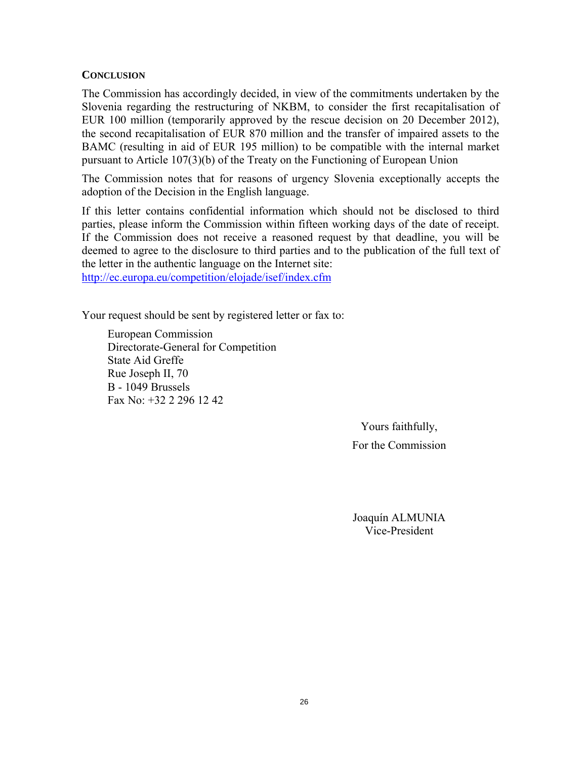## **CONCLUSION**

The Commission has accordingly decided, in view of the commitments undertaken by the Slovenia regarding the restructuring of NKBM, to consider the first recapitalisation of EUR 100 million (temporarily approved by the rescue decision on 20 December 2012), the second recapitalisation of EUR 870 million and the transfer of impaired assets to the BAMC (resulting in aid of EUR 195 million) to be compatible with the internal market pursuant to Article 107(3)(b) of the Treaty on the Functioning of European Union

The Commission notes that for reasons of urgency Slovenia exceptionally accepts the adoption of the Decision in the English language.

If this letter contains confidential information which should not be disclosed to third parties, please inform the Commission within fifteen working days of the date of receipt. If the Commission does not receive a reasoned request by that deadline, you will be deemed to agree to the disclosure to third parties and to the publication of the full text of [the letter in the authentic language on the Internet site](http://ec.europa.eu/competition/elojade/isef/index.cfm):

http://ec.europa.eu/competition/elojade/isef/index.cfm

Your request should be sent by registered letter or fax to:

European Commission Directorate-General for Competition State Aid Greffe Rue Joseph II, 70 B - 1049 Brussels Fax No: +32 2 296 12 42

> Yours faithfully, For the Commission

> Joaquín ALMUNIA Vice-President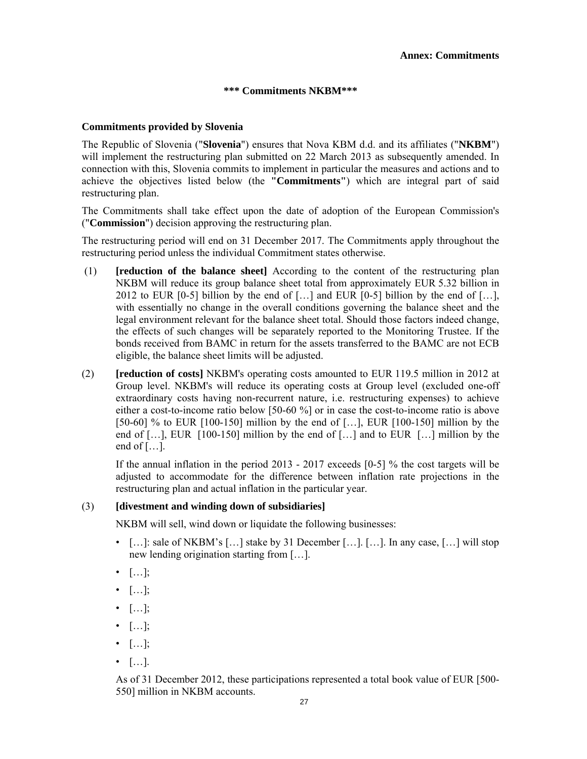#### **\*\*\* Commitments NKBM\*\*\***

#### **Commitments provided by Slovenia**

The Republic of Slovenia ("**Slovenia**") ensures that Nova KBM d.d. and its affiliates ("**NKBM**") will implement the restructuring plan submitted on 22 March 2013 as subsequently amended. In connection with this, Slovenia commits to implement in particular the measures and actions and to achieve the objectives listed below (the **"Commitments"**) which are integral part of said restructuring plan.

The Commitments shall take effect upon the date of adoption of the European Commission's ("**Commission**") decision approving the restructuring plan.

The restructuring period will end on 31 December 2017. The Commitments apply throughout the restructuring period unless the individual Commitment states otherwise.

- (1) **[reduction of the balance sheet]** According to the content of the restructuring plan NKBM will reduce its group balance sheet total from approximately EUR 5.32 billion in 2012 to EUR [0-5] billion by the end of  $[\dots]$  and EUR [0-5] billion by the end of  $[\dots]$ , with essentially no change in the overall conditions governing the balance sheet and the legal environment relevant for the balance sheet total. Should those factors indeed change, the effects of such changes will be separately reported to the Monitoring Trustee. If the bonds received from BAMC in return for the assets transferred to the BAMC are not ECB eligible, the balance sheet limits will be adjusted.
- (2) **[reduction of costs]** NKBM's operating costs amounted to EUR 119.5 million in 2012 at Group level. NKBM's will reduce its operating costs at Group level (excluded one-off extraordinary costs having non-recurrent nature, i.e. restructuring expenses) to achieve either a cost-to-income ratio below [50-60 %] or in case the cost-to-income ratio is above [50-60] % to EUR [100-150] million by the end of [...], EUR [100-150] million by the end of  $[\dots]$ , EUR [100-150] million by the end of  $[\dots]$  and to EUR  $[\dots]$  million by the end of  $[\dots]$ .

 If the annual inflation in the period 2013 - 2017 exceeds [0-5] % the cost targets will be adjusted to accommodate for the difference between inflation rate projections in the restructuring plan and actual inflation in the particular year.

#### (3) **[divestment and winding down of subsidiaries]**

NKBM will sell, wind down or liquidate the following businesses:

- $[\dots]$ : sale of NKBM's  $[\dots]$  stake by 31 December  $[\dots]$ .  $[\dots]$ . In any case,  $[\dots]$  will stop new lending origination starting from […].
- $\bullet$  [...];
- $\bullet$  [...];
- […];
- $\bullet$  [...];
- $\bullet$  [...];
- […].

 As of 31 December 2012, these participations represented a total book value of EUR [500- 550] million in NKBM accounts.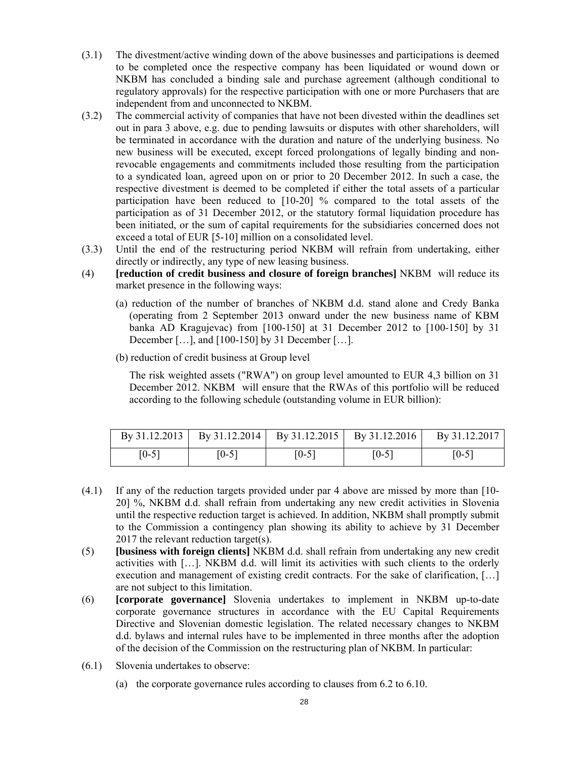- (3.1) The divestment/active winding down of the above businesses and participations is deemed to be completed once the respective company has been liquidated or wound down or NKBM has concluded a binding sale and purchase agreement (although conditional to regulatory approvals) for the respective participation with one or more Purchasers that are independent from and unconnected to NKBM.
- (3.2) The commercial activity of companies that have not been divested within the deadlines set out in para 3 above, e.g. due to pending lawsuits or disputes with other shareholders, will be terminated in accordance with the duration and nature of the underlying business. No new business will be executed, except forced prolongations of legally binding and nonrevocable engagements and commitments included those resulting from the participation to a syndicated loan, agreed upon on or prior to 20 December 2012. In such a case, the respective divestment is deemed to be completed if either the total assets of a particular participation have been reduced to [10-20] % compared to the total assets of the participation as of 31 December 2012, or the statutory formal liquidation procedure has been initiated, or the sum of capital requirements for the subsidiaries concerned does not exceed a total of EUR [5-10] million on a consolidated level.
- (3.3) Until the end of the restructuring period NKBM will refrain from undertaking, either directly or indirectly, any type of new leasing business.
- (4) **[reduction of credit business and closure of foreign branches]** NKBM will reduce its market presence in the following ways:
	- (a) reduction of the number of branches of NKBM d.d. stand alone and Credy Banka (operating from 2 September 2013 onward under the new business name of KBM banka AD Kragujevac) from [100-150] at 31 December 2012 to [100-150] by 31 December […], and [100-150] by 31 December […].
	- (b) reduction of credit business at Group level

The risk weighted assets ("RWA") on group level amounted to EUR 4,3 billion on 31 December 2012. NKBM will ensure that the RWAs of this portfolio will be reduced according to the following schedule (outstanding volume in EUR billion):

|       |       |         |         | By 31.12.2013   By 31.12.2014   By 31.12.2015   By 31.12.2016   By 31.12.2017 |
|-------|-------|---------|---------|-------------------------------------------------------------------------------|
| [0-5] | [0-5] | $[0-5]$ | $[0-5]$ | $[0-5]$                                                                       |

- (4.1) If any of the reduction targets provided under par 4 above are missed by more than [10- 20] %, NKBM d.d. shall refrain from undertaking any new credit activities in Slovenia until the respective reduction target is achieved. In addition, NKBM shall promptly submit to the Commission a contingency plan showing its ability to achieve by 31 December 2017 the relevant reduction target(s).
- (5) **[business with foreign clients]** NKBM d.d. shall refrain from undertaking any new credit activities with […]. NKBM d.d. will limit its activities with such clients to the orderly execution and management of existing credit contracts. For the sake of clarification, […] are not subject to this limitation.
- (6) **[corporate governance]** Slovenia undertakes to implement in NKBM up-to-date corporate governance structures in accordance with the EU Capital Requirements Directive and Slovenian domestic legislation. The related necessary changes to NKBM d.d. bylaws and internal rules have to be implemented in three months after the adoption of the decision of the Commission on the restructuring plan of NKBM. In particular:
- (6.1) Slovenia undertakes to observe:
	- (a) the corporate governance rules according to clauses from 6.2 to 6.10.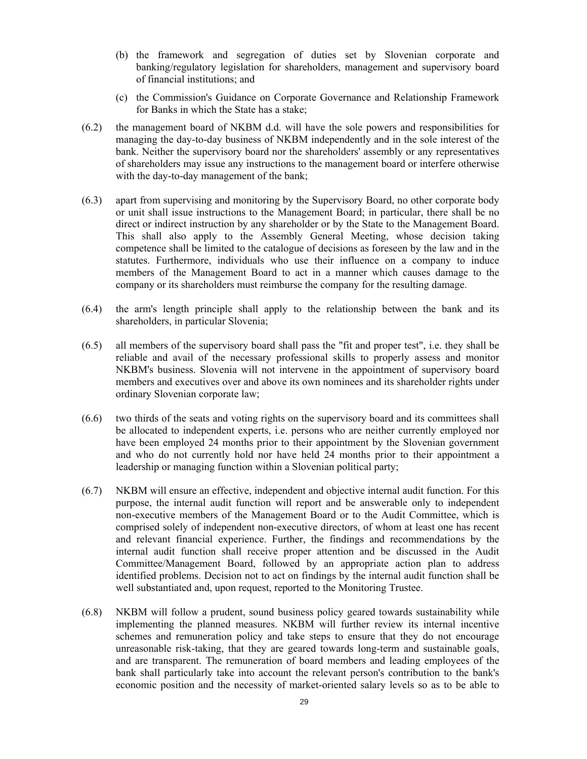- (b) the framework and segregation of duties set by Slovenian corporate and banking/regulatory legislation for shareholders, management and supervisory board of financial institutions; and
- (c) the Commission's Guidance on Corporate Governance and Relationship Framework for Banks in which the State has a stake;
- (6.2) the management board of NKBM d.d. will have the sole powers and responsibilities for managing the day-to-day business of NKBM independently and in the sole interest of the bank. Neither the supervisory board nor the shareholders' assembly or any representatives of shareholders may issue any instructions to the management board or interfere otherwise with the day-to-day management of the bank;
- (6.3) apart from supervising and monitoring by the Supervisory Board, no other corporate body or unit shall issue instructions to the Management Board; in particular, there shall be no direct or indirect instruction by any shareholder or by the State to the Management Board. This shall also apply to the Assembly General Meeting, whose decision taking competence shall be limited to the catalogue of decisions as foreseen by the law and in the statutes. Furthermore, individuals who use their influence on a company to induce members of the Management Board to act in a manner which causes damage to the company or its shareholders must reimburse the company for the resulting damage.
- (6.4) the arm's length principle shall apply to the relationship between the bank and its shareholders, in particular Slovenia;
- (6.5) all members of the supervisory board shall pass the "fit and proper test", i.e. they shall be reliable and avail of the necessary professional skills to properly assess and monitor NKBM's business. Slovenia will not intervene in the appointment of supervisory board members and executives over and above its own nominees and its shareholder rights under ordinary Slovenian corporate law;
- (6.6) two thirds of the seats and voting rights on the supervisory board and its committees shall be allocated to independent experts, i.e. persons who are neither currently employed nor have been employed 24 months prior to their appointment by the Slovenian government and who do not currently hold nor have held 24 months prior to their appointment a leadership or managing function within a Slovenian political party;
- (6.7) NKBM will ensure an effective, independent and objective internal audit function. For this purpose, the internal audit function will report and be answerable only to independent non-executive members of the Management Board or to the Audit Committee, which is comprised solely of independent non-executive directors, of whom at least one has recent and relevant financial experience. Further, the findings and recommendations by the internal audit function shall receive proper attention and be discussed in the Audit Committee/Management Board, followed by an appropriate action plan to address identified problems. Decision not to act on findings by the internal audit function shall be well substantiated and, upon request, reported to the Monitoring Trustee.
- (6.8) NKBM will follow a prudent, sound business policy geared towards sustainability while implementing the planned measures. NKBM will further review its internal incentive schemes and remuneration policy and take steps to ensure that they do not encourage unreasonable risk-taking, that they are geared towards long-term and sustainable goals, and are transparent. The remuneration of board members and leading employees of the bank shall particularly take into account the relevant person's contribution to the bank's economic position and the necessity of market-oriented salary levels so as to be able to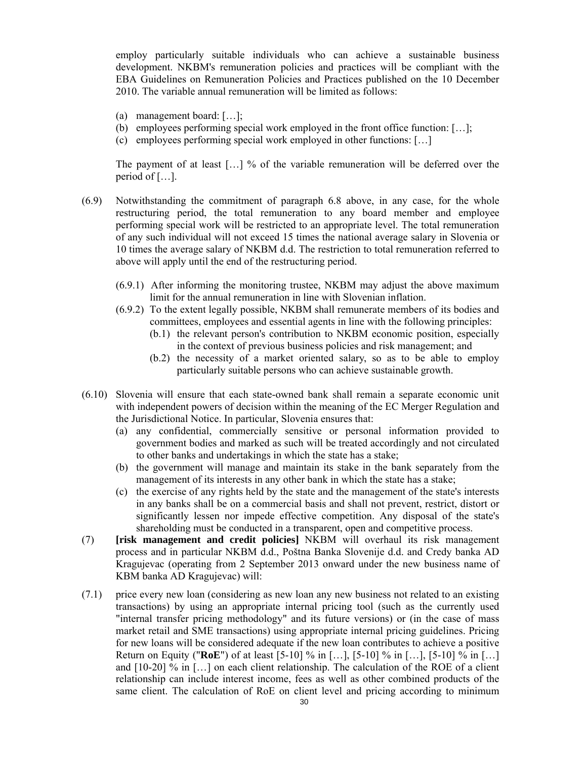employ particularly suitable individuals who can achieve a sustainable business development. NKBM's remuneration policies and practices will be compliant with the EBA Guidelines on Remuneration Policies and Practices published on the 10 December 2010. The variable annual remuneration will be limited as follows:

- (a) management board: […];
- (b) employees performing special work employed in the front office function: […];
- (c) employees performing special work employed in other functions: […]

The payment of at least […] % of the variable remuneration will be deferred over the period of […].

- (6.9) Notwithstanding the commitment of paragraph 6.8 above, in any case, for the whole restructuring period, the total remuneration to any board member and employee performing special work will be restricted to an appropriate level. The total remuneration of any such individual will not exceed 15 times the national average salary in Slovenia or 10 times the average salary of NKBM d.d. The restriction to total remuneration referred to above will apply until the end of the restructuring period.
	- (6.9.1) After informing the monitoring trustee, NKBM may adjust the above maximum limit for the annual remuneration in line with Slovenian inflation.
	- (6.9.2) To the extent legally possible, NKBM shall remunerate members of its bodies and committees, employees and essential agents in line with the following principles:
		- (b.1) the relevant person's contribution to NKBM economic position, especially in the context of previous business policies and risk management; and
		- (b.2) the necessity of a market oriented salary, so as to be able to employ particularly suitable persons who can achieve sustainable growth.
- (6.10) Slovenia will ensure that each state-owned bank shall remain a separate economic unit with independent powers of decision within the meaning of the EC Merger Regulation and the Jurisdictional Notice. In particular, Slovenia ensures that:
	- (a) any confidential, commercially sensitive or personal information provided to government bodies and marked as such will be treated accordingly and not circulated to other banks and undertakings in which the state has a stake;
	- (b) the government will manage and maintain its stake in the bank separately from the management of its interests in any other bank in which the state has a stake;
	- (c) the exercise of any rights held by the state and the management of the state's interests in any banks shall be on a commercial basis and shall not prevent, restrict, distort or significantly lessen nor impede effective competition. Any disposal of the state's shareholding must be conducted in a transparent, open and competitive process.
- (7) **[risk management and credit policies]** NKBM will overhaul its risk management process and in particular NKBM d.d., Poštna Banka Slovenije d.d. and Credy banka AD Kragujevac (operating from 2 September 2013 onward under the new business name of KBM banka AD Kragujevac) will:
- (7.1) price every new loan (considering as new loan any new business not related to an existing transactions) by using an appropriate internal pricing tool (such as the currently used "internal transfer pricing methodology" and its future versions) or (in the case of mass market retail and SME transactions) using appropriate internal pricing guidelines. Pricing for new loans will be considered adequate if the new loan contributes to achieve a positive Return on Equity ("**RoE**") of at least [5-10] % in […], [5-10] % in […], [5-10] % in […] and [10-20] % in […] on each client relationship. The calculation of the ROE of a client relationship can include interest income, fees as well as other combined products of the same client. The calculation of RoE on client level and pricing according to minimum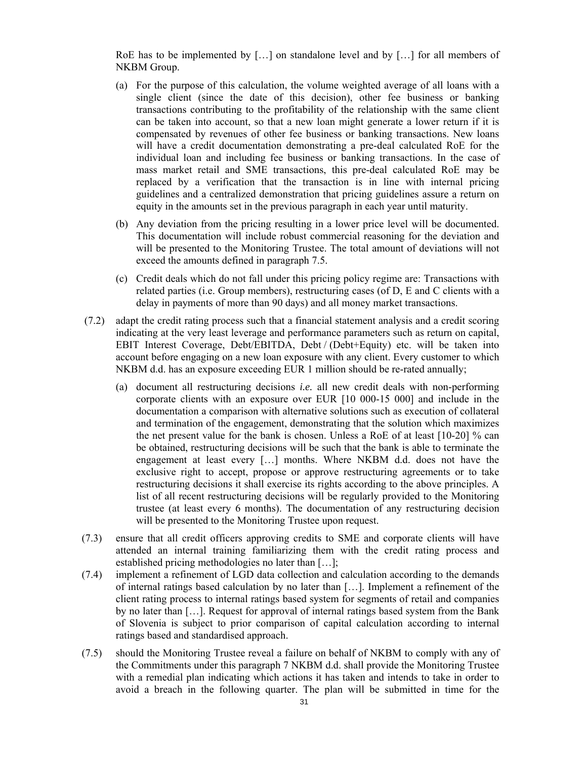RoE has to be implemented by [...] on standalone level and by [...] for all members of NKBM Group.

- (a) For the purpose of this calculation, the volume weighted average of all loans with a single client (since the date of this decision), other fee business or banking transactions contributing to the profitability of the relationship with the same client can be taken into account, so that a new loan might generate a lower return if it is compensated by revenues of other fee business or banking transactions. New loans will have a credit documentation demonstrating a pre-deal calculated RoE for the individual loan and including fee business or banking transactions. In the case of mass market retail and SME transactions, this pre-deal calculated RoE may be replaced by a verification that the transaction is in line with internal pricing guidelines and a centralized demonstration that pricing guidelines assure a return on equity in the amounts set in the previous paragraph in each year until maturity.
- (b) Any deviation from the pricing resulting in a lower price level will be documented. This documentation will include robust commercial reasoning for the deviation and will be presented to the Monitoring Trustee. The total amount of deviations will not exceed the amounts defined in paragraph 7.5.
- (c) Credit deals which do not fall under this pricing policy regime are: Transactions with related parties (i.e. Group members), restructuring cases (of D, E and C clients with a delay in payments of more than 90 days) and all money market transactions.
- (7.2) adapt the credit rating process such that a financial statement analysis and a credit scoring indicating at the very least leverage and performance parameters such as return on capital, EBIT Interest Coverage, Debt/EBITDA, Debt / (Debt+Equity) etc. will be taken into account before engaging on a new loan exposure with any client. Every customer to which NKBM d.d. has an exposure exceeding EUR 1 million should be re-rated annually;
	- (a) document all restructuring decisions *i.e.* all new credit deals with non-performing corporate clients with an exposure over EUR [10 000-15 000] and include in the documentation a comparison with alternative solutions such as execution of collateral and termination of the engagement, demonstrating that the solution which maximizes the net present value for the bank is chosen. Unless a RoE of at least [10-20] % can be obtained, restructuring decisions will be such that the bank is able to terminate the engagement at least every […] months. Where NKBM d.d. does not have the exclusive right to accept, propose or approve restructuring agreements or to take restructuring decisions it shall exercise its rights according to the above principles. A list of all recent restructuring decisions will be regularly provided to the Monitoring trustee (at least every 6 months). The documentation of any restructuring decision will be presented to the Monitoring Trustee upon request.
- (7.3) ensure that all credit officers approving credits to SME and corporate clients will have attended an internal training familiarizing them with the credit rating process and established pricing methodologies no later than […];
- (7.4) implement a refinement of LGD data collection and calculation according to the demands of internal ratings based calculation by no later than […]. Implement a refinement of the client rating process to internal ratings based system for segments of retail and companies by no later than […]. Request for approval of internal ratings based system from the Bank of Slovenia is subject to prior comparison of capital calculation according to internal ratings based and standardised approach.
- (7.5) should the Monitoring Trustee reveal a failure on behalf of NKBM to comply with any of the Commitments under this paragraph 7 NKBM d.d. shall provide the Monitoring Trustee with a remedial plan indicating which actions it has taken and intends to take in order to avoid a breach in the following quarter. The plan will be submitted in time for the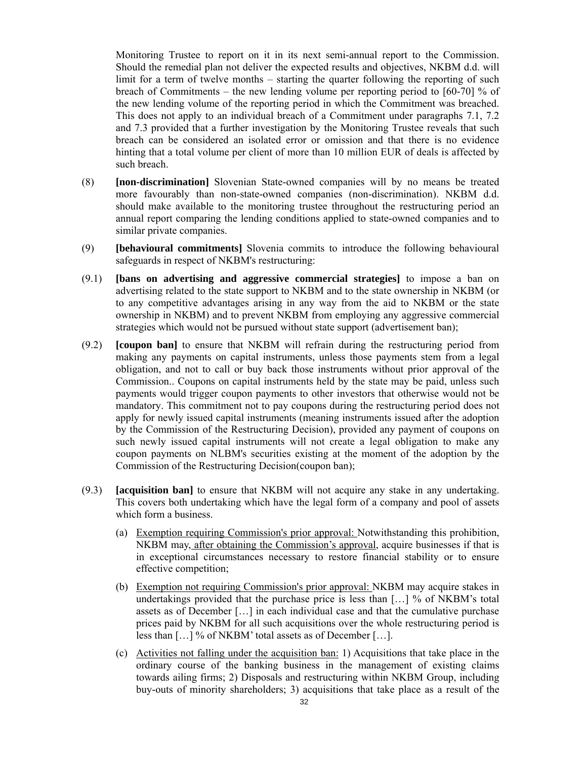Monitoring Trustee to report on it in its next semi-annual report to the Commission. Should the remedial plan not deliver the expected results and objectives, NKBM d.d. will limit for a term of twelve months – starting the quarter following the reporting of such breach of Commitments – the new lending volume per reporting period to [60-70] % of the new lending volume of the reporting period in which the Commitment was breached. This does not apply to an individual breach of a Commitment under paragraphs 7.1, 7.2 and 7.3 provided that a further investigation by the Monitoring Trustee reveals that such breach can be considered an isolated error or omission and that there is no evidence hinting that a total volume per client of more than 10 million EUR of deals is affected by such breach.

- (8) **[non-discrimination]** Slovenian State-owned companies will by no means be treated more favourably than non-state-owned companies (non-discrimination). NKBM d.d. should make available to the monitoring trustee throughout the restructuring period an annual report comparing the lending conditions applied to state-owned companies and to similar private companies.
- (9) **[behavioural commitments]** Slovenia commits to introduce the following behavioural safeguards in respect of NKBM's restructuring:
- (9.1) **[bans on advertising and aggressive commercial strategies]** to impose a ban on advertising related to the state support to NKBM and to the state ownership in NKBM (or to any competitive advantages arising in any way from the aid to NKBM or the state ownership in NKBM) and to prevent NKBM from employing any aggressive commercial strategies which would not be pursued without state support (advertisement ban);
- (9.2) **[coupon ban]** to ensure that NKBM will refrain during the restructuring period from making any payments on capital instruments, unless those payments stem from a legal obligation, and not to call or buy back those instruments without prior approval of the Commission.. Coupons on capital instruments held by the state may be paid, unless such payments would trigger coupon payments to other investors that otherwise would not be mandatory. This commitment not to pay coupons during the restructuring period does not apply for newly issued capital instruments (meaning instruments issued after the adoption by the Commission of the Restructuring Decision), provided any payment of coupons on such newly issued capital instruments will not create a legal obligation to make any coupon payments on NLBM's securities existing at the moment of the adoption by the Commission of the Restructuring Decision(coupon ban);
- (9.3) **[acquisition ban]** to ensure that NKBM will not acquire any stake in any undertaking. This covers both undertaking which have the legal form of a company and pool of assets which form a business.
	- (a) Exemption requiring Commission's prior approval: Notwithstanding this prohibition, NKBM may, after obtaining the Commission's approval, acquire businesses if that is in exceptional circumstances necessary to restore financial stability or to ensure effective competition;
	- (b) Exemption not requiring Commission's prior approval: NKBM may acquire stakes in undertakings provided that the purchase price is less than […] % of NKBM's total assets as of December […] in each individual case and that the cumulative purchase prices paid by NKBM for all such acquisitions over the whole restructuring period is less than […] % of NKBM' total assets as of December […].
	- (c) Activities not falling under the acquisition ban: 1) Acquisitions that take place in the ordinary course of the banking business in the management of existing claims towards ailing firms; 2) Disposals and restructuring within NKBM Group, including buy-outs of minority shareholders; 3) acquisitions that take place as a result of the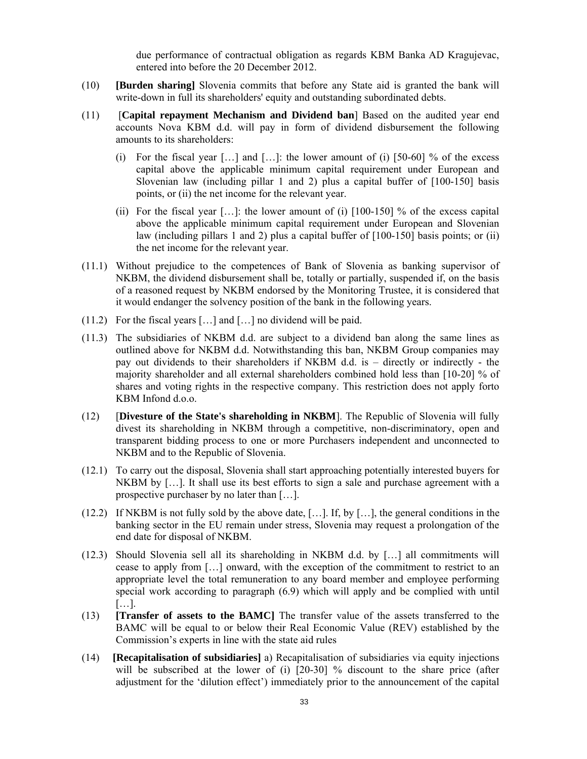due performance of contractual obligation as regards KBM Banka AD Kragujevac, entered into before the 20 December 2012.

- (10) **[Burden sharing]** Slovenia commits that before any State aid is granted the bank will write-down in full its shareholders' equity and outstanding subordinated debts.
- (11) [**Capital repayment Mechanism and Dividend ban**] Based on the audited year end accounts Nova KBM d.d. will pay in form of dividend disbursement the following amounts to its shareholders:
	- (i) For the fiscal year  $[\dots]$  and  $[\dots]$ : the lower amount of (i) [50-60] % of the excess capital above the applicable minimum capital requirement under European and Slovenian law (including pillar 1 and 2) plus a capital buffer of [100-150] basis points, or (ii) the net income for the relevant year.
	- (ii) For the fiscal year [...]: the lower amount of (i)  $[100-150]$  % of the excess capital above the applicable minimum capital requirement under European and Slovenian law (including pillars 1 and 2) plus a capital buffer of [100-150] basis points; or (ii) the net income for the relevant year.
- (11.1) Without prejudice to the competences of Bank of Slovenia as banking supervisor of NKBM, the dividend disbursement shall be, totally or partially, suspended if, on the basis of a reasoned request by NKBM endorsed by the Monitoring Trustee, it is considered that it would endanger the solvency position of the bank in the following years.
- (11.2) For the fiscal years […] and […] no dividend will be paid.
- (11.3) The subsidiaries of NKBM d.d. are subject to a dividend ban along the same lines as outlined above for NKBM d.d. Notwithstanding this ban, NKBM Group companies may pay out dividends to their shareholders if NKBM d.d. is – directly or indirectly - the majority shareholder and all external shareholders combined hold less than [10-20] % of shares and voting rights in the respective company. This restriction does not apply forto KBM Infond d.o.o.
- (12) [**Divesture of the State's shareholding in NKBM**]. The Republic of Slovenia will fully divest its shareholding in NKBM through a competitive, non-discriminatory, open and transparent bidding process to one or more Purchasers independent and unconnected to NKBM and to the Republic of Slovenia.
- (12.1) To carry out the disposal, Slovenia shall start approaching potentially interested buyers for NKBM by [...]. It shall use its best efforts to sign a sale and purchase agreement with a prospective purchaser by no later than […].
- $(12.2)$  If NKBM is not fully sold by the above date, [...]. If, by [...], the general conditions in the banking sector in the EU remain under stress, Slovenia may request a prolongation of the end date for disposal of NKBM.
- (12.3) Should Slovenia sell all its shareholding in NKBM d.d. by […] all commitments will cease to apply from […] onward, with the exception of the commitment to restrict to an appropriate level the total remuneration to any board member and employee performing special work according to paragraph (6.9) which will apply and be complied with until […].
- (13) **[Transfer of assets to the BAMC]** The transfer value of the assets transferred to the BAMC will be equal to or below their Real Economic Value (REV) established by the Commission's experts in line with the state aid rules
- (14) **[Recapitalisation of subsidiaries]** a) Recapitalisation of subsidiaries via equity injections will be subscribed at the lower of (i) [20-30] % discount to the share price (after adjustment for the 'dilution effect') immediately prior to the announcement of the capital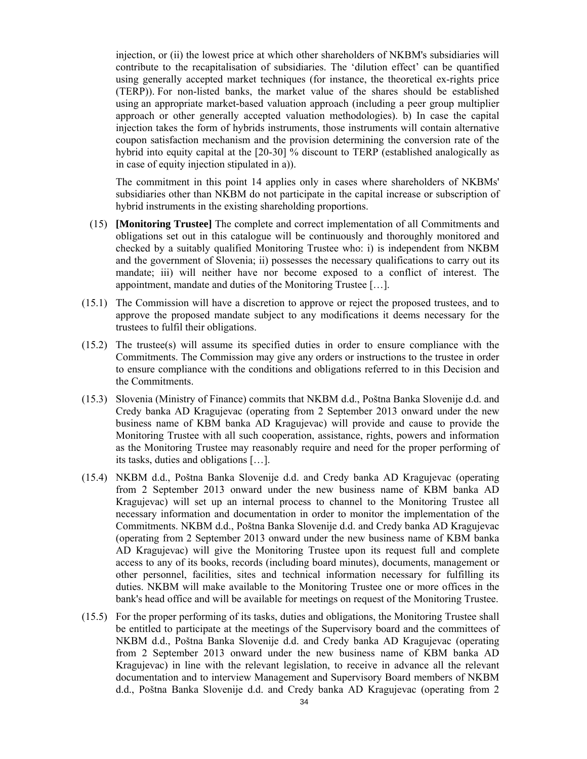injection, or (ii) the lowest price at which other shareholders of NKBM's subsidiaries will contribute to the recapitalisation of subsidiaries. The 'dilution effect' can be quantified using generally accepted market techniques (for instance, the theoretical ex-rights price (TERP)). For non-listed banks, the market value of the shares should be established using an appropriate market-based valuation approach (including a peer group multiplier approach or other generally accepted valuation methodologies). b) In case the capital injection takes the form of hybrids instruments, those instruments will contain alternative coupon satisfaction mechanism and the provision determining the conversion rate of the hybrid into equity capital at the [20-30] % discount to TERP (established analogically as in case of equity injection stipulated in a)).

 The commitment in this point 14 applies only in cases where shareholders of NKBMs' subsidiaries other than NKBM do not participate in the capital increase or subscription of hybrid instruments in the existing shareholding proportions.

- (15) **[Monitoring Trustee]** The complete and correct implementation of all Commitments and obligations set out in this catalogue will be continuously and thoroughly monitored and checked by a suitably qualified Monitoring Trustee who: i) is independent from NKBM and the government of Slovenia; ii) possesses the necessary qualifications to carry out its mandate; iii) will neither have nor become exposed to a conflict of interest. The appointment, mandate and duties of the Monitoring Trustee […].
- (15.1) The Commission will have a discretion to approve or reject the proposed trustees, and to approve the proposed mandate subject to any modifications it deems necessary for the trustees to fulfil their obligations.
- (15.2) The trustee(s) will assume its specified duties in order to ensure compliance with the Commitments. The Commission may give any orders or instructions to the trustee in order to ensure compliance with the conditions and obligations referred to in this Decision and the Commitments.
- (15.3) Slovenia (Ministry of Finance) commits that NKBM d.d., Poštna Banka Slovenije d.d. and Credy banka AD Kragujevac (operating from 2 September 2013 onward under the new business name of KBM banka AD Kragujevac) will provide and cause to provide the Monitoring Trustee with all such cooperation, assistance, rights, powers and information as the Monitoring Trustee may reasonably require and need for the proper performing of its tasks, duties and obligations […].
- (15.4) NKBM d.d., Poštna Banka Slovenije d.d. and Credy banka AD Kragujevac (operating from 2 September 2013 onward under the new business name of KBM banka AD Kragujevac) will set up an internal process to channel to the Monitoring Trustee all necessary information and documentation in order to monitor the implementation of the Commitments. NKBM d.d., Poštna Banka Slovenije d.d. and Credy banka AD Kragujevac (operating from 2 September 2013 onward under the new business name of KBM banka AD Kragujevac) will give the Monitoring Trustee upon its request full and complete access to any of its books, records (including board minutes), documents, management or other personnel, facilities, sites and technical information necessary for fulfilling its duties. NKBM will make available to the Monitoring Trustee one or more offices in the bank's head office and will be available for meetings on request of the Monitoring Trustee.
- (15.5) For the proper performing of its tasks, duties and obligations, the Monitoring Trustee shall be entitled to participate at the meetings of the Supervisory board and the committees of NKBM d.d., Poštna Banka Slovenije d.d. and Credy banka AD Kragujevac (operating from 2 September 2013 onward under the new business name of KBM banka AD Kragujevac) in line with the relevant legislation, to receive in advance all the relevant documentation and to interview Management and Supervisory Board members of NKBM d.d., Poštna Banka Slovenije d.d. and Credy banka AD Kragujevac (operating from 2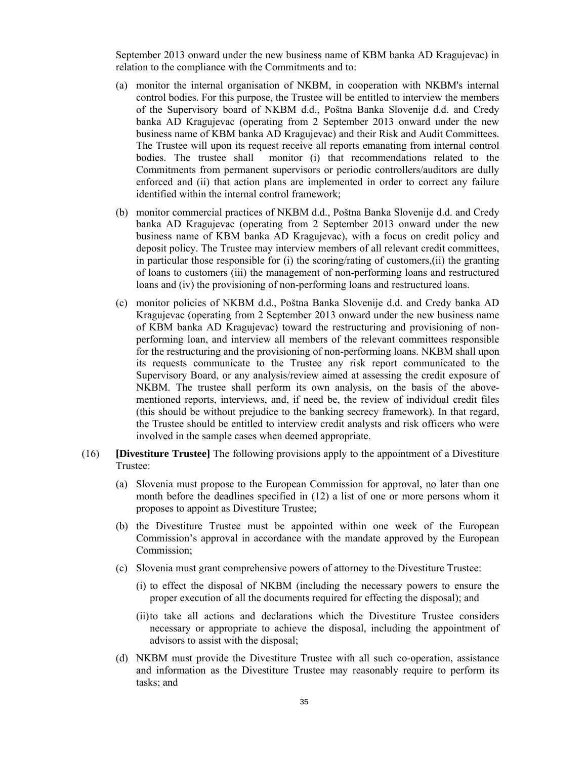September 2013 onward under the new business name of KBM banka AD Kragujevac) in relation to the compliance with the Commitments and to:

- (a) monitor the internal organisation of NKBM, in cooperation with NKBM's internal control bodies. For this purpose, the Trustee will be entitled to interview the members of the Supervisory board of NKBM d.d., Poštna Banka Slovenije d.d. and Credy banka AD Kragujevac (operating from 2 September 2013 onward under the new business name of KBM banka AD Kragujevac) and their Risk and Audit Committees. The Trustee will upon its request receive all reports emanating from internal control bodies. The trustee shall monitor (i) that recommendations related to the Commitments from permanent supervisors or periodic controllers/auditors are dully enforced and (ii) that action plans are implemented in order to correct any failure identified within the internal control framework;
- (b) monitor commercial practices of NKBM d.d., Poštna Banka Slovenije d.d. and Credy banka AD Kragujevac (operating from 2 September 2013 onward under the new business name of KBM banka AD Kragujevac), with a focus on credit policy and deposit policy. The Trustee may interview members of all relevant credit committees, in particular those responsible for (i) the scoring/rating of customers,(ii) the granting of loans to customers (iii) the management of non-performing loans and restructured loans and (iv) the provisioning of non-performing loans and restructured loans.
- (c) monitor policies of NKBM d.d., Poštna Banka Slovenije d.d. and Credy banka AD Kragujevac (operating from 2 September 2013 onward under the new business name of KBM banka AD Kragujevac) toward the restructuring and provisioning of nonperforming loan, and interview all members of the relevant committees responsible for the restructuring and the provisioning of non-performing loans. NKBM shall upon its requests communicate to the Trustee any risk report communicated to the Supervisory Board, or any analysis/review aimed at assessing the credit exposure of NKBM. The trustee shall perform its own analysis, on the basis of the abovementioned reports, interviews, and, if need be, the review of individual credit files (this should be without prejudice to the banking secrecy framework). In that regard, the Trustee should be entitled to interview credit analysts and risk officers who were involved in the sample cases when deemed appropriate.
- (16) **[Divestiture Trustee]** The following provisions apply to the appointment of a Divestiture Trustee:
	- (a) Slovenia must propose to the European Commission for approval, no later than one month before the deadlines specified in (12) a list of one or more persons whom it proposes to appoint as Divestiture Trustee;
	- (b) the Divestiture Trustee must be appointed within one week of the European Commission's approval in accordance with the mandate approved by the European Commission;
	- (c) Slovenia must grant comprehensive powers of attorney to the Divestiture Trustee:
		- (i) to effect the disposal of NKBM (including the necessary powers to ensure the proper execution of all the documents required for effecting the disposal); and
		- (ii)to take all actions and declarations which the Divestiture Trustee considers necessary or appropriate to achieve the disposal, including the appointment of advisors to assist with the disposal;
	- (d) NKBM must provide the Divestiture Trustee with all such co-operation, assistance and information as the Divestiture Trustee may reasonably require to perform its tasks; and